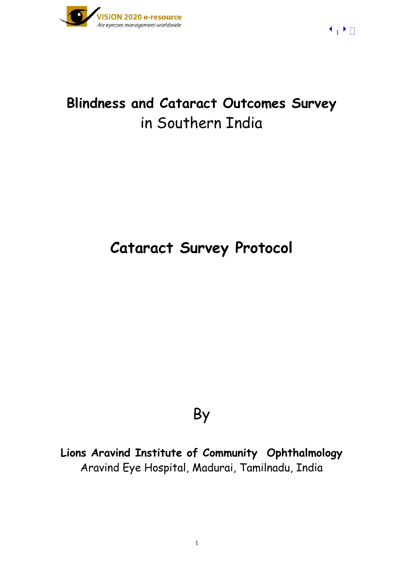

# **Blindness and Cataract Outcomes Survey** in Southern India

# **Cataract Survey Protocol**

# By

**Lions Aravind Institute of Community Ophthalmology**  Aravind Eye Hospital, Madurai, Tamilnadu, India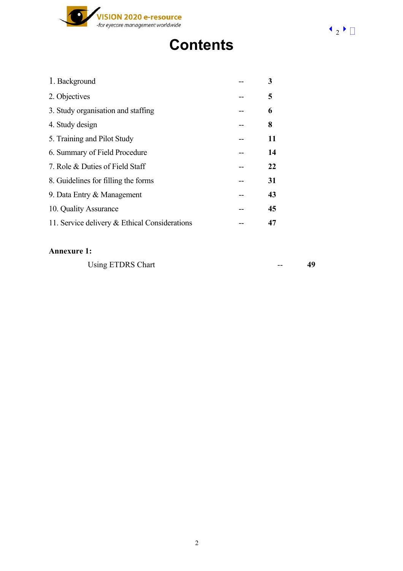

# **Contents**

| 1. Background                                 | 3  |
|-----------------------------------------------|----|
| 2. Objectives                                 | 5  |
| 3. Study organisation and staffing            | 6  |
| 4. Study design                               | 8  |
| 5. Training and Pilot Study                   | 11 |
| 6. Summary of Field Procedure                 | 14 |
| 7. Role & Duties of Field Staff               | 22 |
| 8. Guidelines for filling the forms           | 31 |
| 9. Data Entry & Management                    | 43 |
| 10. Quality Assurance                         | 45 |
| 11. Service delivery & Ethical Considerations | 47 |

#### **Annexure 1:**

Using ETDRS Chart **49**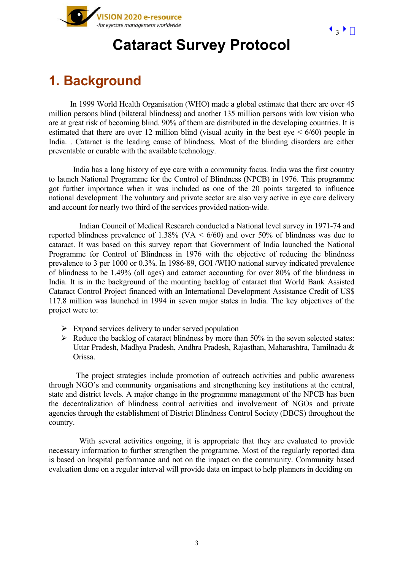

# **Cataract Survey Protocol**

# **1. Background**

In 1999 World Health Organisation (WHO) made a global estimate that there are over 45 million persons blind (bilateral blindness) and another 135 million persons with low vision who are at great risk of becoming blind. 90% of them are distributed in the developing countries. It is estimated that there are over 12 million blind (visual acuity in the best  $eye < 6/60$ ) people in India. . Cataract is the leading cause of blindness. Most of the blinding disorders are either preventable or curable with the available technology.

India has a long history of eye care with a community focus. India was the first country to launch National Programme for the Control of Blindness (NPCB) in 1976. This programme got further importance when it was included as one of the 20 points targeted to influence national development The voluntary and private sector are also very active in eye care delivery and account for nearly two third of the services provided nation-wide.

Indian Council of Medical Research conducted a National level survey in 1971-74 and reported blindness prevalence of  $1.38\%$  (VA  $\leq 6/60$ ) and over 50% of blindness was due to cataract. It was based on this survey report that Government of India launched the National Programme for Control of Blindness in 1976 with the objective of reducing the blindness prevalence to 3 per 1000 or 0.3%. In 1986-89, GOI /WHO national survey indicated prevalence of blindness to be 1.49% (all ages) and cataract accounting for over 80% of the blindness in India. It is in the background of the mounting backlog of cataract that World Bank Assisted Cataract Control Project financed with an International Development Assistance Credit of US\$ 117.8 million was launched in 1994 in seven major states in India. The key objectives of the project were to:

- $\triangleright$  Expand services delivery to under served population
- $\triangleright$  Reduce the backlog of cataract blindness by more than 50% in the seven selected states: Uttar Pradesh, Madhya Pradesh, Andhra Pradesh, Rajasthan, Maharashtra, Tamilnadu & Orissa.

The project strategies include promotion of outreach activities and public awareness through NGO's and community organisations and strengthening key institutions at the central, state and district levels. A major change in the programme management of the NPCB has been the decentralization of blindness control activities and involvement of NGOs and private agencies through the establishment of District Blindness Control Society (DBCS) throughout the country.

With several activities ongoing, it is appropriate that they are evaluated to provide necessary information to further strengthen the programme. Most of the regularly reported data is based on hospital performance and not on the impact on the community. Community based evaluation done on a regular interval will provide data on impact to help planners in deciding on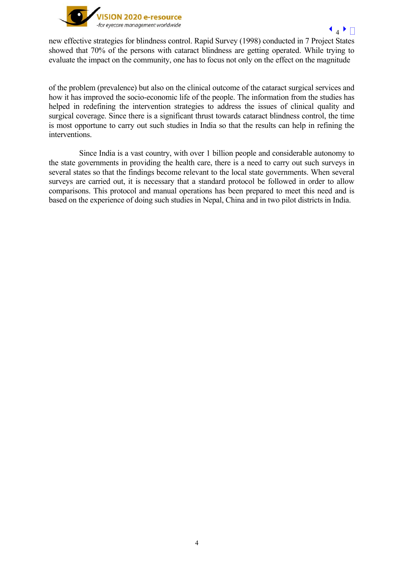

new effective strategies for blindness control. Rapid Survey (1998) conducted in 7 Project States showed that 70% of the persons with cataract blindness are getting operated. While trying to evaluate the impact on the community, one has to focus not only on the effect on the magnitude

of the problem (prevalence) but also on the clinical outcome of the cataract surgical services and how it has improved the socio-economic life of the people. The information from the studies has helped in redefining the intervention strategies to address the issues of clinical quality and surgical coverage. Since there is a significant thrust towards cataract blindness control, the time is most opportune to carry out such studies in India so that the results can help in refining the interventions.

Since India is a vast country, with over 1 billion people and considerable autonomy to the state governments in providing the health care, there is a need to carry out such surveys in several states so that the findings become relevant to the local state governments. When several surveys are carried out, it is necessary that a standard protocol be followed in order to allow comparisons. This protocol and manual operations has been prepared to meet this need and is based on the experience of doing such studies in Nepal, China and in two pilot districts in India.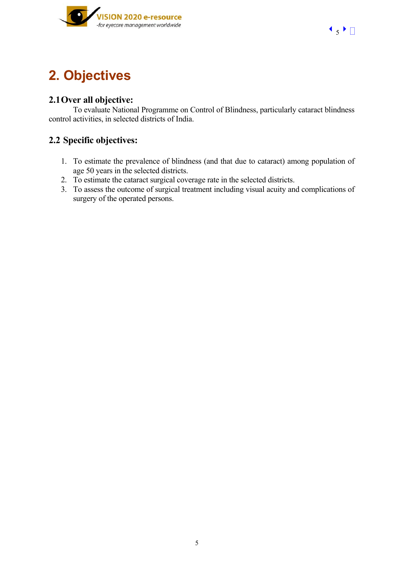



# **2. Objectives**

# **2.1Over all objective:**

To evaluate National Programme on Control of Blindness, particularly cataract blindness control activities, in selected districts of India.

# **2.2 Specific objectives:**

- 1. To estimate the prevalence of blindness (and that due to cataract) among population of age 50 years in the selected districts.
- 2. To estimate the cataract surgical coverage rate in the selected districts.
- 3. To assess the outcome of surgical treatment including visual acuity and complications of surgery of the operated persons.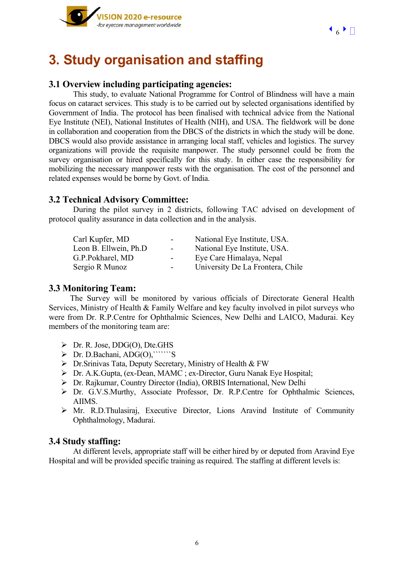

# **3. Study organisation and staffing**

### **3.1 Overview including participating agencies:**

This study, to evaluate National Programme for Control of Blindness will have a main focus on cataract services. This study is to be carried out by selected organisations identified by Government of India. The protocol has been finalised with technical advice from the National Eye Institute (NEI), National Institutes of Health (NIH), and USA. The fieldwork will be done in collaboration and cooperation from the DBCS of the districts in which the study will be done. DBCS would also provide assistance in arranging local staff, vehicles and logistics. The survey organizations will provide the requisite manpower. The study personnel could be from the survey organisation or hired specifically for this study. In either case the responsibility for mobilizing the necessary manpower rests with the organisation. The cost of the personnel and related expenses would be borne by Govt. of India.

## **3.2 Technical Advisory Committee:**

During the pilot survey in 2 districts, following TAC advised on development of protocol quality assurance in data collection and in the analysis.

| Carl Kupfer, MD        | $\blacksquare$           | National Eye Institute, USA.     |
|------------------------|--------------------------|----------------------------------|
| Leon B. Ellwein, Ph.D. | $\blacksquare$           | National Eye Institute, USA.     |
| G.P.Pokharel, MD       | $\blacksquare$           | Eye Care Himalaya, Nepal         |
| Sergio R Munoz         | $\overline{\phantom{a}}$ | University De La Frontera, Chile |

#### **3.3 Monitoring Team:**

The Survey will be monitored by various officials of Directorate General Health Services, Ministry of Health & Family Welfare and key faculty involved in pilot surveys who were from Dr. R.P.Centre for Ophthalmic Sciences, New Delhi and LAICO, Madurai. Key members of the monitoring team are:

- $\triangleright$  Dr. R. Jose, DDG(O), Dte. GHS
- $\triangleright$  Dr. D.Bachani, ADG(O), ``````S
- $\triangleright$  Dr. Srinivas Tata, Deputy Secretary, Ministry of Health & FW
- ¾ Dr. A.K.Gupta, (ex-Dean, MAMC ; ex-Director, Guru Nanak Eye Hospital;
- ¾ Dr. Rajkumar, Country Director (India), ORBIS International, New Delhi
- ¾ Dr. G.V.S.Murthy, Associate Professor, Dr. R.P.Centre for Ophthalmic Sciences, AIIMS.
- ¾ Mr. R.D.Thulasiraj, Executive Director, Lions Aravind Institute of Community Ophthalmology, Madurai.

#### **3.4 Study staffing:**

At different levels, appropriate staff will be either hired by or deputed from Aravind Eye Hospital and will be provided specific training as required. The staffing at different levels is: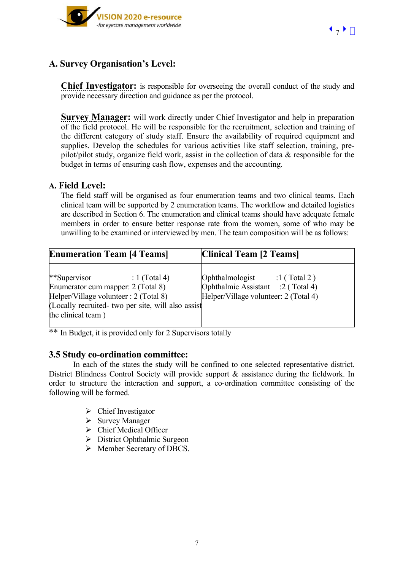



# **A. Survey Organisation's Level:**

**Chief Investigator:** is responsible for overseeing the overall conduct of the study and provide necessary direction and guidance as per the protocol.

**Survey Manager:** will work directly under Chief Investigator and help in preparation of the field protocol. He will be responsible for the recruitment, selection and training of the different category of study staff. Ensure the availability of required equipment and supplies. Develop the schedules for various activities like staff selection, training, prepilot/pilot study, organize field work, assist in the collection of data & responsible for the budget in terms of ensuring cash flow, expenses and the accounting.

#### **A. Field Level:**

The field staff will be organised as four enumeration teams and two clinical teams. Each clinical team will be supported by 2 enumeration teams. The workflow and detailed logistics are described in Section 6. The enumeration and clinical teams should have adequate female members in order to ensure better response rate from the women, some of who may be unwilling to be examined or interviewed by men. The team composition will be as follows:

| <b>Enumeration Team [4 Teams]</b>                                                                                                                                                           | <b>Clinical Team [2 Teams]</b>                                                                             |
|---------------------------------------------------------------------------------------------------------------------------------------------------------------------------------------------|------------------------------------------------------------------------------------------------------------|
| **Supervisor<br>$: 1$ (Total 4)<br>Enumerator cum mapper: 2 (Total 8)<br>Helper/Village volunteer : 2 (Total 8)<br>(Locally recruited- two per site, will also assist<br>the clinical team) | Ophthalmologist :1 (Total 2)<br>Ophthalmic Assistant :2 (Total 4)<br>Helper/Village volunteer: 2 (Total 4) |

\*\* In Budget, it is provided only for 2 Supervisors totally

#### **3.5 Study co-ordination committee:**

In each of the states the study will be confined to one selected representative district. District Blindness Control Society will provide support & assistance during the fieldwork. In order to structure the interaction and support, a co-ordination committee consisting of the following will be formed.

- $\triangleright$  Chief Investigator
- $\triangleright$  Survey Manager
- $\triangleright$  Chief Medical Officer
- $\triangleright$  District Ophthalmic Surgeon
- ¾ Member Secretary of DBCS.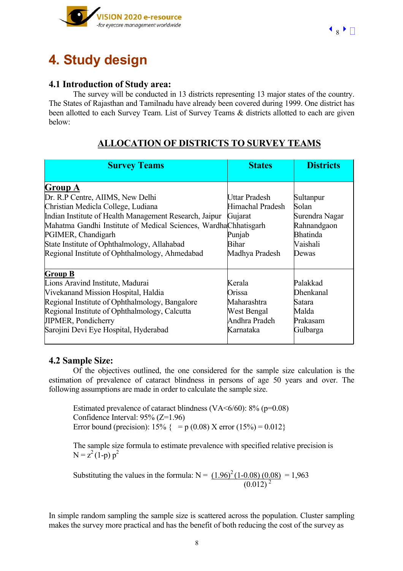

# **4. Study design**

## **4.1 Introduction of Study area:**

The survey will be conducted in 13 districts representing 13 major states of the country. The States of Rajasthan and Tamilnadu have already been covered during 1999. One district has been allotted to each Survey Team. List of Survey Teams & districts allotted to each are given below:

# **ALLOCATION OF DISTRICTS TO SURVEY TEAMS**

| <b>Survey Teams</b>                                                                                                                                                                                                                                                                                                                   | <b>States</b>                                                                            | <b>Districts</b>                                                                     |
|---------------------------------------------------------------------------------------------------------------------------------------------------------------------------------------------------------------------------------------------------------------------------------------------------------------------------------------|------------------------------------------------------------------------------------------|--------------------------------------------------------------------------------------|
| Group A<br>Dr. R.P Centre, AIIMS, New Delhi<br>Christian Medicla College, Ludiana<br>Indian Institute of Health Management Research, Jaipur<br>Mahatma Gandhi Institute of Medical Sciences, WardhaChhatisgarh<br>PGIMER, Chandigarh<br>State Institute of Ophthalmology, Allahabad<br>Regional Institute of Ophthalmology, Ahmedabad | Uttar Pradesh<br>Himachal Pradesh<br>Gujarat<br>Punjab<br><b>Bihar</b><br>Madhya Pradesh | Sultanpur<br>Solan<br>Surendra Nagar<br>Rahnandgaon<br>Bhatinda<br>Vaishali<br>Dewas |
| <b>Group B</b><br>Lions Aravind Institute, Madurai<br>Vivekanand Mission Hospital, Haldia<br>Regional Institute of Ophthalmology, Bangalore<br>Regional Institute of Ophthalmology, Calcutta<br><b>JIPMER, Pondicherry</b><br>Sarojini Devi Eye Hospital, Hyderabad                                                                   | Kerala<br>Orissa<br>Maharashtra<br>West Bengal<br>Andhra Pradeh<br>Karnataka             | Palakkad<br>Dhenkanal<br>Satara<br>Malda<br>Prakasam<br>Gulbarga                     |

## **4.2 Sample Size:**

Of the objectives outlined, the one considered for the sample size calculation is the estimation of prevalence of cataract blindness in persons of age 50 years and over. The following assumptions are made in order to calculate the sample size.

 Estimated prevalence of cataract blindness (VA<6/60): 8% (p=0.08) Confidence Interval: 95% (Z=1.96) Error bound (precision):  $15\% = p(0.08)$  X error  $(15\%) = 0.012$ 

 The sample size formula to estimate prevalence with specified relative precision is  $N = z^2 (1-p) p^2$ 

Substituting the values in the formula:  $N = (1.96)^2 (1 - 0.08) (0.08) = 1,963$  $(0.012)^2$ 

In simple random sampling the sample size is scattered across the population. Cluster sampling makes the survey more practical and has the benefit of both reducing the cost of the survey as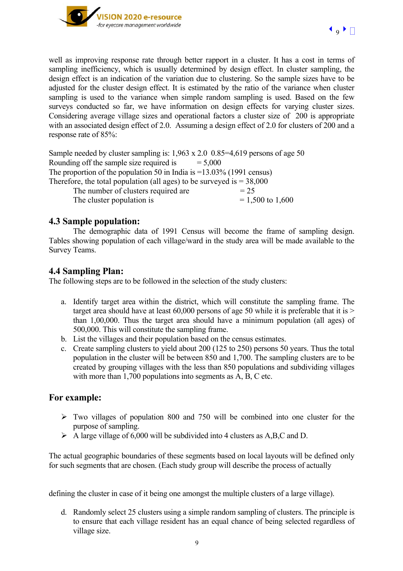

well as improving response rate through better rapport in a cluster. It has a cost in terms of sampling inefficiency, which is usually determined by design effect. In cluster sampling, the design effect is an indication of the variation due to clustering. So the sample sizes have to be adjusted for the cluster design effect. It is estimated by the ratio of the variance when cluster sampling is used to the variance when simple random sampling is used. Based on the few surveys conducted so far, we have information on design effects for varying cluster sizes. Considering average village sizes and operational factors a cluster size of 200 is appropriate with an associated design effect of 2.0. Assuming a design effect of 2.0 for clusters of 200 and a response rate of 85%:

Sample needed by cluster sampling is: 1,963 x 2.0 0.85=4,619 persons of age 50 Rounding off the sample size required is  $= 5,000$ The proportion of the population 50 in India is =13.03% (1991 census) Therefore, the total population (all ages) to be surveyed is  $= 38,000$ The number of clusters required are  $= 25$ The cluster population is  $= 1,500$  to  $1,600$ 

## **4.3 Sample population:**

The demographic data of 1991 Census will become the frame of sampling design. Tables showing population of each village/ward in the study area will be made available to the Survey Teams.

### **4.4 Sampling Plan:**

The following steps are to be followed in the selection of the study clusters:

- a. Identify target area within the district, which will constitute the sampling frame. The target area should have at least  $60,000$  persons of age 50 while it is preferable that it is  $>$ than 1,00,000. Thus the target area should have a minimum population (all ages) of 500,000. This will constitute the sampling frame.
- b. List the villages and their population based on the census estimates.
- c. Create sampling clusters to yield about 200 (125 to 250) persons 50 years. Thus the total population in the cluster will be between 850 and 1,700. The sampling clusters are to be created by grouping villages with the less than 850 populations and subdividing villages with more than 1,700 populations into segments as A, B, C etc.

## **For example:**

- $\triangleright$  Two villages of population 800 and 750 will be combined into one cluster for the purpose of sampling.
- $\triangleright$  A large village of 6,000 will be subdivided into 4 clusters as A,B,C and D.

The actual geographic boundaries of these segments based on local layouts will be defined only for such segments that are chosen. (Each study group will describe the process of actually

defining the cluster in case of it being one amongst the multiple clusters of a large village).

d. Randomly select 25 clusters using a simple random sampling of clusters. The principle is to ensure that each village resident has an equal chance of being selected regardless of village size.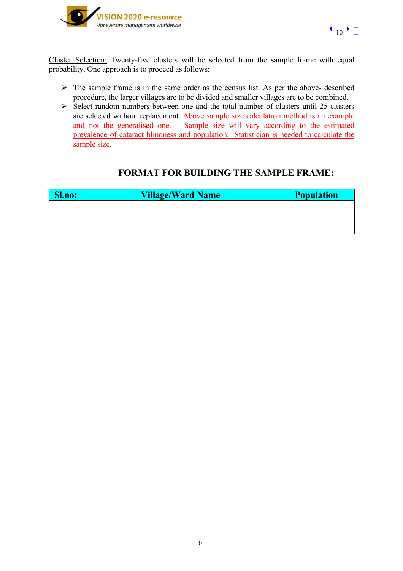



Cluster Selection: Twenty-five clusters will be selected from the sample frame with equal probability. One approach is to proceed as follows:

- $\triangleright$  The sample frame is in the same order as the census list. As per the above- described procedure, the larger villages are to be divided and smaller villages are to be combined.
- $\triangleright$  Select random numbers between one and the total number of clusters until 25 clusters are selected without replacement. Above sample size calculation method is an example and not the generalised one. Sample size will vary according to the estimated prevalence of cataract blindness and population. Statistician is needed to calculate the sample size.

# **FORMAT FOR BUILDING THE SAMPLE FRAME:**

| Sl.no: | <b>Village/Ward Name</b> | <b>Population</b> |
|--------|--------------------------|-------------------|
|        |                          |                   |
|        |                          |                   |
|        |                          |                   |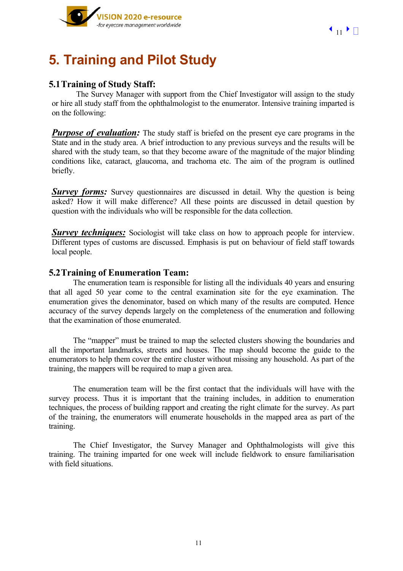

# **5. Training and Pilot Study**

# **5.1Training of Study Staff:**

The Survey Manager with support from the Chief Investigator will assign to the study or hire all study staff from the ophthalmologist to the enumerator. Intensive training imparted is on the following:

**Purpose of evaluation:** The study staff is briefed on the present eye care programs in the State and in the study area. A brief introduction to any previous surveys and the results will be shared with the study team, so that they become aware of the magnitude of the major blinding conditions like, cataract, glaucoma, and trachoma etc. The aim of the program is outlined briefly.

*Survey forms:* Survey questionnaires are discussed in detail. Why the question is being asked? How it will make difference? All these points are discussed in detail question by question with the individuals who will be responsible for the data collection.

*Survey techniques:* Sociologist will take class on how to approach people for interview. Different types of customs are discussed. Emphasis is put on behaviour of field staff towards local people.

### **5.2Training of Enumeration Team:**

The enumeration team is responsible for listing all the individuals 40 years and ensuring that all aged 50 year come to the central examination site for the eye examination. The enumeration gives the denominator, based on which many of the results are computed. Hence accuracy of the survey depends largely on the completeness of the enumeration and following that the examination of those enumerated.

The "mapper" must be trained to map the selected clusters showing the boundaries and all the important landmarks, streets and houses. The map should become the guide to the enumerators to help them cover the entire cluster without missing any household. As part of the training, the mappers will be required to map a given area.

The enumeration team will be the first contact that the individuals will have with the survey process. Thus it is important that the training includes, in addition to enumeration techniques, the process of building rapport and creating the right climate for the survey. As part of the training, the enumerators will enumerate households in the mapped area as part of the training.

The Chief Investigator, the Survey Manager and Ophthalmologists will give this training. The training imparted for one week will include fieldwork to ensure familiarisation with field situations.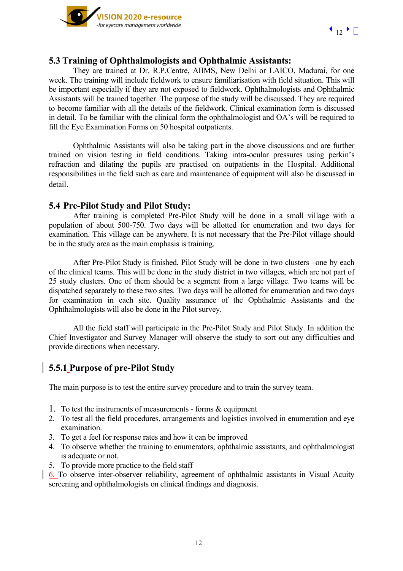

### **5.3 Training of Ophthalmologists and Ophthalmic Assistants:**

They are trained at Dr. R.P.Centre, AIIMS, New Delhi or LAICO, Madurai, for one week. The training will include fieldwork to ensure familiarisation with field situation. This will be important especially if they are not exposed to fieldwork. Ophthalmologists and Ophthalmic Assistants will be trained together. The purpose of the study will be discussed. They are required to become familiar with all the details of the fieldwork. Clinical examination form is discussed in detail. To be familiar with the clinical form the ophthalmologist and OA's will be required to fill the Eye Examination Forms on 50 hospital outpatients.

Ophthalmic Assistants will also be taking part in the above discussions and are further trained on vision testing in field conditions. Taking intra-ocular pressures using perkin's refraction and dilating the pupils are practised on outpatients in the Hospital. Additional responsibilities in the field such as care and maintenance of equipment will also be discussed in detail.

#### **5.4 Pre-Pilot Study and Pilot Study:**

After training is completed Pre-Pilot Study will be done in a small village with a population of about 500-750. Two days will be allotted for enumeration and two days for examination. This village can be anywhere. It is not necessary that the Pre-Pilot village should be in the study area as the main emphasis is training.

After Pre-Pilot Study is finished, Pilot Study will be done in two clusters –one by each of the clinical teams. This will be done in the study district in two villages, which are not part of 25 study clusters. One of them should be a segment from a large village. Two teams will be dispatched separately to these two sites. Two days will be allotted for enumeration and two days for examination in each site. Quality assurance of the Ophthalmic Assistants and the Ophthalmologists will also be done in the Pilot survey.

All the field staff will participate in the Pre-Pilot Study and Pilot Study. In addition the Chief Investigator and Survey Manager will observe the study to sort out any difficulties and provide directions when necessary.

## **5.5.1 Purpose of pre-Pilot Study**

The main purpose is to test the entire survey procedure and to train the survey team.

- 1. To test the instruments of measurements forms & equipment
- 2. To test all the field procedures, arrangements and logistics involved in enumeration and eye examination.
- 3. To get a feel for response rates and how it can be improved
- 4. To observe whether the training to enumerators, ophthalmic assistants, and ophthalmologist is adequate or not.
- 5. To provide more practice to the field staff

6. To observe inter-observer reliability, agreement of ophthalmic assistants in Visual Acuity screening and ophthalmologists on clinical findings and diagnosis.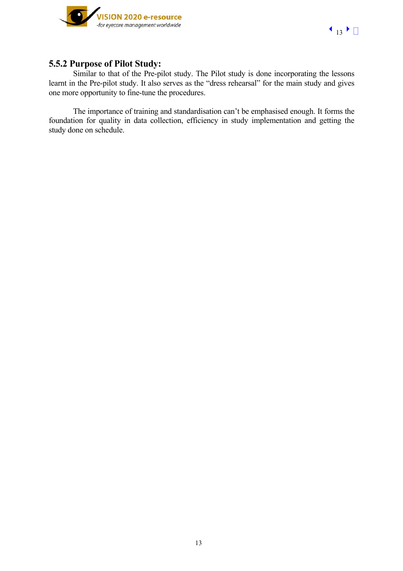

# **5.5.2 Purpose of Pilot Study:**

Similar to that of the Pre-pilot study. The Pilot study is done incorporating the lessons learnt in the Pre-pilot study. It also serves as the "dress rehearsal" for the main study and gives one more opportunity to fine-tune the procedures.

The importance of training and standardisation can't be emphasised enough. It forms the foundation for quality in data collection, efficiency in study implementation and getting the study done on schedule.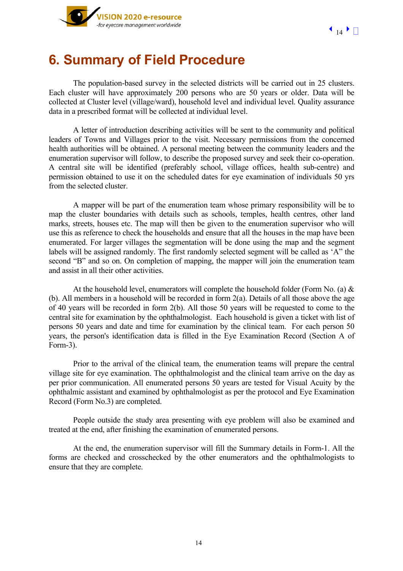

# **6. Summary of Field Procedure**

The population-based survey in the selected districts will be carried out in 25 clusters. Each cluster will have approximately 200 persons who are 50 years or older. Data will be collected at Cluster level (village/ward), household level and individual level. Quality assurance data in a prescribed format will be collected at individual level.

A letter of introduction describing activities will be sent to the community and political leaders of Towns and Villages prior to the visit. Necessary permissions from the concerned health authorities will be obtained. A personal meeting between the community leaders and the enumeration supervisor will follow, to describe the proposed survey and seek their co-operation. A central site will be identified (preferably school, village offices, health sub-centre) and permission obtained to use it on the scheduled dates for eye examination of individuals 50 yrs from the selected cluster.

A mapper will be part of the enumeration team whose primary responsibility will be to map the cluster boundaries with details such as schools, temples, health centres, other land marks, streets, houses etc. The map will then be given to the enumeration supervisor who will use this as reference to check the households and ensure that all the houses in the map have been enumerated. For larger villages the segmentation will be done using the map and the segment labels will be assigned randomly. The first randomly selected segment will be called as 'A" the second "B" and so on. On completion of mapping, the mapper will join the enumeration team and assist in all their other activities.

At the household level, enumerators will complete the household folder (Form No. (a)  $\&$ (b). All members in a household will be recorded in form 2(a). Details of all those above the age of 40 years will be recorded in form 2(b). All those 50 years will be requested to come to the central site for examination by the ophthalmologist. Each household is given a ticket with list of persons 50 years and date and time for examination by the clinical team. For each person 50 years, the person's identification data is filled in the Eye Examination Record (Section A of Form-3).

Prior to the arrival of the clinical team, the enumeration teams will prepare the central village site for eye examination. The ophthalmologist and the clinical team arrive on the day as per prior communication. All enumerated persons 50 years are tested for Visual Acuity by the ophthalmic assistant and examined by ophthalmologist as per the protocol and Eye Examination Record (Form No.3) are completed.

People outside the study area presenting with eye problem will also be examined and treated at the end, after finishing the examination of enumerated persons.

At the end, the enumeration supervisor will fill the Summary details in Form-1. All the forms are checked and crosschecked by the other enumerators and the ophthalmologists to ensure that they are complete.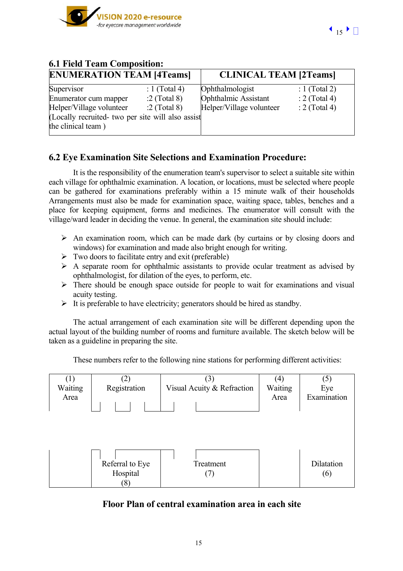

| 0.1 Field Team Composition:                       |                |                               |                 |  |
|---------------------------------------------------|----------------|-------------------------------|-----------------|--|
| <b>ENUMERATION TEAM [4Teams]</b>                  |                | <b>CLINICAL TEAM [2Teams]</b> |                 |  |
| Supervisor                                        | : 1 (Total 4)  | Ophthalmologist               | : 1 (Total 2)   |  |
| Enumerator cum mapper                             | $:2$ (Total 8) | Ophthalmic Assistant          | $: 2$ (Total 4) |  |
| Helper/Village volunteer                          | $:2$ (Total 8) | Helper/Village volunteer      | $: 2$ (Total 4) |  |
| (Locally recruited- two per site will also assist |                |                               |                 |  |
| the clinical team)                                |                |                               |                 |  |
|                                                   |                |                               |                 |  |

## **6.1 Field Team Composition:**

# **6.2 Eye Examination Site Selections and Examination Procedure:**

It is the responsibility of the enumeration team's supervisor to select a suitable site within each village for ophthalmic examination. A location, or locations, must be selected where people can be gathered for examinations preferably within a 15 minute walk of their households Arrangements must also be made for examination space, waiting space, tables, benches and a place for keeping equipment, forms and medicines. The enumerator will consult with the village/ward leader in deciding the venue. In general, the examination site should include:

- $\triangleright$  An examination room, which can be made dark (by curtains or by closing doors and windows) for examination and made also bright enough for writing.
- $\triangleright$  Two doors to facilitate entry and exit (preferable)
- $\triangleright$  A separate room for ophthalmic assistants to provide ocular treatment as advised by ophthalmologist, for dilation of the eyes, to perform, etc.
- $\triangleright$  There should be enough space outside for people to wait for examinations and visual acuity testing.
- $\triangleright$  It is preferable to have electricity; generators should be hired as standby.

The actual arrangement of each examination site will be different depending upon the actual layout of the building number of rooms and furniture available. The sketch below will be taken as a guideline in preparing the site.

These numbers refer to the following nine stations for performing different activities:



# **Floor Plan of central examination area in each site**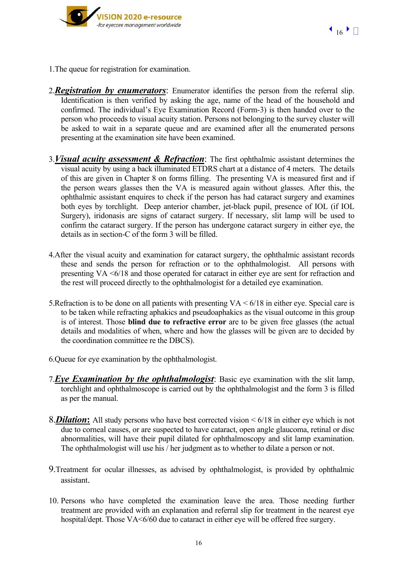



- 1.The queue for registration for examination.
- 2.*Registration by enumerators*: Enumerator identifies the person from the referral slip. Identification is then verified by asking the age, name of the head of the household and confirmed. The individual's Eye Examination Record (Form-3) is then handed over to the person who proceeds to visual acuity station. Persons not belonging to the survey cluster will be asked to wait in a separate queue and are examined after all the enumerated persons presenting at the examination site have been examined.
- 3.*Visual acuity assessment & Refraction*: The first ophthalmic assistant determines the visual acuity by using a back illuminated ETDRS chart at a distance of 4 meters. The details of this are given in Chapter 8 on forms filling. The presenting VA is measured first and if the person wears glasses then the VA is measured again without glasses. After this, the ophthalmic assistant enquires to check if the person has had cataract surgery and examines both eyes by torchlight. Deep anterior chamber, jet-black pupil, presence of IOL (if IOL Surgery), iridonasis are signs of cataract surgery. If necessary, slit lamp will be used to confirm the cataract surgery. If the person has undergone cataract surgery in either eye, the details as in section-C of the form 3 will be filled.
- 4.After the visual acuity and examination for cataract surgery, the ophthalmic assistant records these and sends the person for refraction or to the ophthalmologist. All persons with presenting VA <6/18 and those operated for cataract in either eye are sent for refraction and the rest will proceed directly to the ophthalmologist for a detailed eye examination.
- 5.Refraction is to be done on all patients with presenting VA < 6/18 in either eye. Special care is to be taken while refracting aphakics and pseudoaphakics as the visual outcome in this group is of interest. Those **blind due to refractive error** are to be given free glasses (the actual details and modalities of when, where and how the glasses will be given are to decided by the coordination committee re the DBCS).
- 6.Queue for eye examination by the ophthalmologist.
- 7.*Eye Examination by the ophthalmologist*: Basic eye examination with the slit lamp, torchlight and ophthalmoscope is carried out by the ophthalmologist and the form 3 is filled as per the manual.
- 8.*Dilation***:** All study persons who have best corrected vision < 6/18 in either eye which is not due to corneal causes, or are suspected to have cataract, open angle glaucoma, retinal or disc abnormalities, will have their pupil dilated for ophthalmoscopy and slit lamp examination. The ophthalmologist will use his / her judgment as to whether to dilate a person or not.
- 9.Treatment for ocular illnesses, as advised by ophthalmologist, is provided by ophthalmic assistant.
- 10. Persons who have completed the examination leave the area. Those needing further treatment are provided with an explanation and referral slip for treatment in the nearest eye hospital/dept. Those VA<6/60 due to cataract in either eye will be offered free surgery.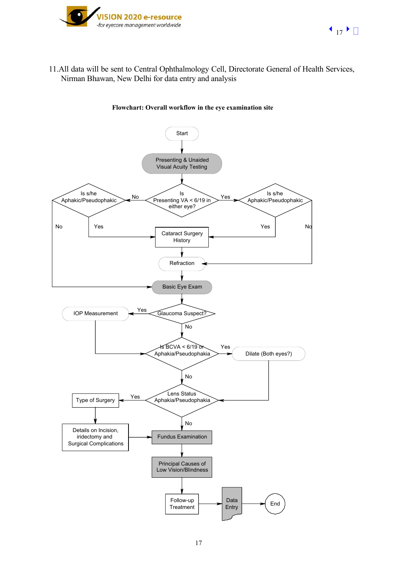

11.All data will be sent to Central Ophthalmology Cell, Directorate General of Health Services, Nirman Bhawan, New Delhi for data entry and analysis

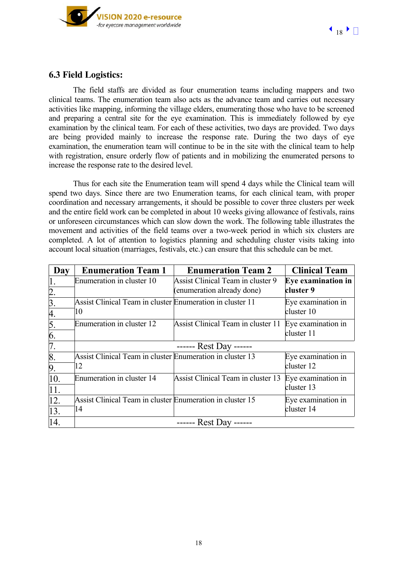



## **6.3 Field Logistics:**

The field staffs are divided as four enumeration teams including mappers and two clinical teams. The enumeration team also acts as the advance team and carries out necessary activities like mapping, informing the village elders, enumerating those who have to be screened and preparing a central site for the eye examination. This is immediately followed by eye examination by the clinical team. For each of these activities, two days are provided. Two days are being provided mainly to increase the response rate. During the two days of eye examination, the enumeration team will continue to be in the site with the clinical team to help with registration, ensure orderly flow of patients and in mobilizing the enumerated persons to increase the response rate to the desired level.

Thus for each site the Enumeration team will spend 4 days while the Clinical team will spend two days. Since there are two Enumeration teams, for each clinical team, with proper coordination and necessary arrangements, it should be possible to cover three clusters per week and the entire field work can be completed in about 10 weeks giving allowance of festivals, rains or unforeseen circumstances which can slow down the work. The following table illustrates the movement and activities of the field teams over a two-week period in which six clusters are completed. A lot of attention to logistics planning and scheduling cluster visits taking into account local situation (marriages, festivals, etc.) can ensure that this schedule can be met.

| Day              | <b>Enumeration Team 1</b>                                 | <b>Enumeration Team 2</b>          | <b>Clinical Team</b> |
|------------------|-----------------------------------------------------------|------------------------------------|----------------------|
|                  | Enumeration in cluster 10                                 | Assist Clinical Team in cluster 9  | Eye examination in   |
| $\overline{2}$ . |                                                           | (enumeration already done)         | cluster 9            |
| 3.               | Assist Clinical Team in cluster Enumeration in cluster 11 |                                    | Eye examination in   |
| 4.               | 10                                                        |                                    | cluster 10           |
| 5.               | Enumeration in cluster 12                                 | Assist Clinical Team in cluster 11 | Eye examination in   |
| 6.               |                                                           |                                    | cluster 11           |
| 7.               |                                                           | ------ Rest Day ------             |                      |
| 8.               | Assist Clinical Team in cluster Enumeration in cluster 13 |                                    | Eye examination in   |
| 9.               | 12                                                        |                                    | cluster 12           |
| 10.              | Enumeration in cluster 14                                 | Assist Clinical Team in cluster 13 | Eye examination in   |
| 11.              |                                                           |                                    | cluster 13           |
| 12.              | Assist Clinical Team in cluster Enumeration in cluster 15 |                                    | Eye examination in   |
| 13.              | 14                                                        |                                    | cluster 14           |
| 14.              |                                                           | ------ Rest Day ------             |                      |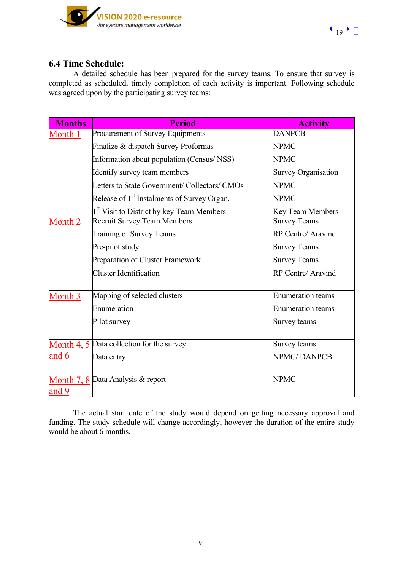

## **6.4 Time Schedule:**

 $\begin{array}{c} \hline \end{array}$ 

 $\overline{\phantom{a}}$ 

A detailed schedule has been prepared for the survey teams. To ensure that survey is completed as scheduled, timely completion of each activity is important. Following schedule was agreed upon by the participating survey teams:

| <b>Months</b>      | <b>Period</b>                                           | <b>Activity</b>            |
|--------------------|---------------------------------------------------------|----------------------------|
| Month <sub>1</sub> | Procurement of Survey Equipments                        | <b>DANPCB</b>              |
|                    | Finalize & dispatch Survey Proformas                    | <b>NPMC</b>                |
|                    | Information about population (Census/NSS)               | <b>NPMC</b>                |
|                    | Identify survey team members                            | <b>Survey Organisation</b> |
|                    | Letters to State Government/ Collectors/ CMOs           | <b>NPMC</b>                |
|                    | Release of 1 <sup>st</sup> Instalments of Survey Organ. | <b>NPMC</b>                |
|                    | 1 <sup>st</sup> Visit to District by key Team Members   | <b>Key Team Members</b>    |
| Month 2            | <b>Recruit Survey Team Members</b>                      | <b>Survey Teams</b>        |
|                    | Training of Survey Teams                                | <b>RP Centre/ Aravind</b>  |
|                    | Pre-pilot study                                         | <b>Survey Teams</b>        |
|                    | Preparation of Cluster Framework                        | <b>Survey Teams</b>        |
|                    | Cluster Identification                                  | RP Centre/ Aravind         |
| Month 3            | Mapping of selected clusters                            | <b>Enumeration teams</b>   |
|                    | Enumeration                                             | <b>Enumeration teams</b>   |
|                    | Pilot survey                                            | Survey teams               |
|                    | Month 4, 5 Data collection for the survey               | Survey teams               |
| and 6              | Data entry                                              | <b>NPMC/DANPCB</b>         |
|                    | Month 7, 8 Data Analysis & report                       | <b>NPMC</b>                |
| and 9              |                                                         |                            |

The actual start date of the study would depend on getting necessary approval and funding. The study schedule will change accordingly, however the duration of the entire study would be about 6 months.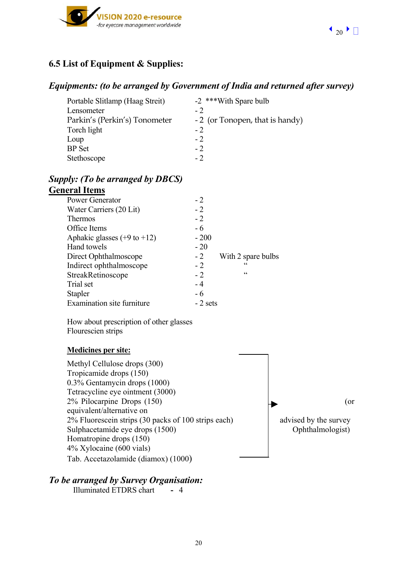

# **6.5 List of Equipment & Supplies:**

## *Equipments: (to be arranged by Government of India and returned after survey)*

| Portable Slitlamp (Haag Streit) | -2 ***With Spare bulb          |
|---------------------------------|--------------------------------|
| Lensometer                      | $-2$                           |
| Parkin's (Perkin's) Tonometer   | -2 (or Tonopen, that is handy) |
| Torch light                     | $-2$                           |
| Loup                            | $-2$                           |
| <b>BP</b> Set                   | $-2$                           |
| Stethoscope                     | $-2$                           |

### *Supply: (To be arranged by DBCS)*  **General Items**

| CI AL LUCILIS                          |           |                    |
|----------------------------------------|-----------|--------------------|
| <b>Power Generator</b>                 | $-2$      |                    |
| Water Carriers (20 Lit)                | $-2$      |                    |
| <b>Thermos</b>                         | $-2$      |                    |
| Office Items                           | - 6       |                    |
| Aphakic glasses $(+9 \text{ to } +12)$ | $-200$    |                    |
| Hand towels                            | $-20$     |                    |
| Direct Ophthalmoscope                  | $-2$      | With 2 spare bulbs |
| Indirect ophthalmoscope                | $-2$      | C C                |
| StreakRetinoscope                      | $-2$      | C                  |
| Trial set                              | - 4       |                    |
| <b>Stapler</b>                         | - 6       |                    |
| Examination site furniture             | $-2$ sets |                    |

How about prescription of other glasses Flourescien strips

#### **Medicines per site:**

Methyl Cellulose drops (300) Tropicamide drops (150) 0.3% Gentamycin drops (1000) Tetracycline eye ointment (3000) 2% Pilocarpine Drops  $(150)$  (or equivalent/alternative on  $2\%$  Fluorescein strips (30 packs of 100 strips each) advised by the survey Sulphacetamide eye drops (1500) Ophthalmologist) Homatropine drops (150) 4% Xylocaine (600 vials) Tab. Accetazolamide (diamox) (1000)

# *To be arranged by Survey Organisation:*

Illuminated ETDRS chart **-** 4

20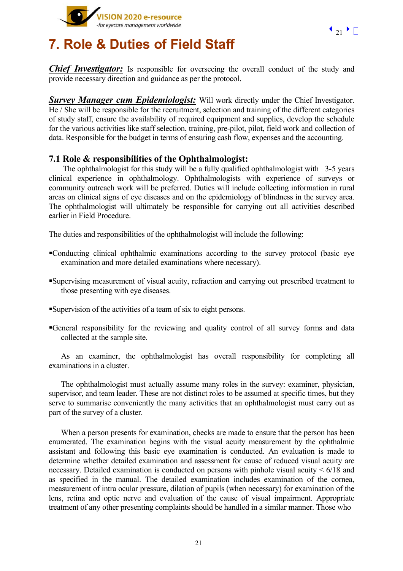



# **7. Role & Duties of Field Staff**

*Chief Investigator:* Is responsible for overseeing the overall conduct of the study and provide necessary direction and guidance as per the protocol.

*Survey Manager cum Epidemiologist:* Will work directly under the Chief Investigator. He / She will be responsible for the recruitment, selection and training of the different categories of study staff, ensure the availability of required equipment and supplies, develop the schedule for the various activities like staff selection, training, pre-pilot, pilot, field work and collection of data. Responsible for the budget in terms of ensuring cash flow, expenses and the accounting.

### **7.1 Role & responsibilities of the Ophthalmologist:**

 The ophthalmologist for this study will be a fully qualified ophthalmologist with 3-5 years clinical experience in ophthalmology. Ophthalmologists with experience of surveys or community outreach work will be preferred. Duties will include collecting information in rural areas on clinical signs of eye diseases and on the epidemiology of blindness in the survey area. The ophthalmologist will ultimately be responsible for carrying out all activities described earlier in Field Procedure.

The duties and responsibilities of the ophthalmologist will include the following:

- Conducting clinical ophthalmic examinations according to the survey protocol (basic eye examination and more detailed examinations where necessary).
- Supervising measurement of visual acuity, refraction and carrying out prescribed treatment to those presenting with eye diseases.
- Supervision of the activities of a team of six to eight persons.
- General responsibility for the reviewing and quality control of all survey forms and data collected at the sample site.

As an examiner, the ophthalmologist has overall responsibility for completing all examinations in a cluster.

The ophthalmologist must actually assume many roles in the survey: examiner, physician, supervisor, and team leader. These are not distinct roles to be assumed at specific times, but they serve to summarise conveniently the many activities that an ophthalmologist must carry out as part of the survey of a cluster.

When a person presents for examination, checks are made to ensure that the person has been enumerated. The examination begins with the visual acuity measurement by the ophthalmic assistant and following this basic eye examination is conducted. An evaluation is made to determine whether detailed examination and assessment for cause of reduced visual acuity are necessary. Detailed examination is conducted on persons with pinhole visual acuity  $\leq 6/18$  and as specified in the manual. The detailed examination includes examination of the cornea, measurement of intra ocular pressure, dilation of pupils (when necessary) for examination of the lens, retina and optic nerve and evaluation of the cause of visual impairment. Appropriate treatment of any other presenting complaints should be handled in a similar manner. Those who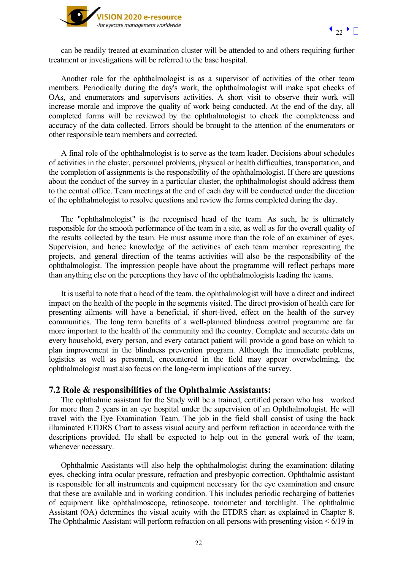

can be readily treated at examination cluster will be attended to and others requiring further treatment or investigations will be referred to the base hospital.

Another role for the ophthalmologist is as a supervisor of activities of the other team members. Periodically during the day's work, the ophthalmologist will make spot checks of OAs, and enumerators and supervisors activities. A short visit to observe their work will increase morale and improve the quality of work being conducted. At the end of the day, all completed forms will be reviewed by the ophthalmologist to check the completeness and accuracy of the data collected. Errors should be brought to the attention of the enumerators or other responsible team members and corrected.

A final role of the ophthalmologist is to serve as the team leader. Decisions about schedules of activities in the cluster, personnel problems, physical or health difficulties, transportation, and the completion of assignments is the responsibility of the ophthalmologist. If there are questions about the conduct of the survey in a particular cluster, the ophthalmologist should address them to the central office. Team meetings at the end of each day will be conducted under the direction of the ophthalmologist to resolve questions and review the forms completed during the day.

The "ophthalmologist" is the recognised head of the team. As such, he is ultimately responsible for the smooth performance of the team in a site, as well as for the overall quality of the results collected by the team. He must assume more than the role of an examiner of eyes. Supervision, and hence knowledge of the activities of each team member representing the projects, and general direction of the teams activities will also be the responsibility of the ophthalmologist. The impression people have about the programme will reflect perhaps more than anything else on the perceptions they have of the ophthalmologists leading the teams.

It is useful to note that a head of the team, the ophthalmologist will have a direct and indirect impact on the health of the people in the segments visited. The direct provision of health care for presenting ailments will have a beneficial, if short-lived, effect on the health of the survey communities. The long term benefits of a well-planned blindness control programme are far more important to the health of the community and the country. Complete and accurate data on every household, every person, and every cataract patient will provide a good base on which to plan improvement in the blindness prevention program. Although the immediate problems, logistics as well as personnel, encountered in the field may appear overwhelming, the ophthalmologist must also focus on the long-term implications of the survey.

#### **7.2 Role & responsibilities of the Ophthalmic Assistants:**

The ophthalmic assistant for the Study will be a trained, certified person who has worked for more than 2 years in an eye hospital under the supervision of an Ophthalmologist. He will travel with the Eye Examination Team. The job in the field shall consist of using the back illuminated ETDRS Chart to assess visual acuity and perform refraction in accordance with the descriptions provided. He shall be expected to help out in the general work of the team, whenever necessary.

Ophthalmic Assistants will also help the ophthalmologist during the examination: dilating eyes, checking intra ocular pressure, refraction and presbyopic correction. Ophthalmic assistant is responsible for all instruments and equipment necessary for the eye examination and ensure that these are available and in working condition. This includes periodic recharging of batteries of equipment like ophthalmoscope, retinoscope, tonometer and torchlight. The ophthalmic Assistant (OA) determines the visual acuity with the ETDRS chart as explained in Chapter 8. The Ophthalmic Assistant will perform refraction on all persons with presenting vision < 6/19 in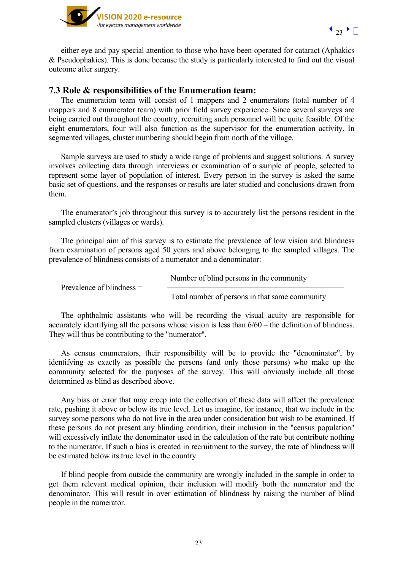



either eye and pay special attention to those who have been operated for cataract (Aphakics & Pseudophakics). This is done because the study is particularly interested to find out the visual outcome after surgery.

### **7.3 Role & responsibilities of the Enumeration team:**

The enumeration team will consist of 1 mappers and 2 enumerators (total number of 4 mappers and 8 enumerator team) with prior field survey experience. Since several surveys are being carried out throughout the country, recruiting such personnel will be quite feasible. Of the eight enumerators, four will also function as the supervisor for the enumeration activity. In segmented villages, cluster numbering should begin from north of the village.

Sample surveys are used to study a wide range of problems and suggest solutions. A survey involves collecting data through interviews or examination of a sample of people, selected to represent some layer of population of interest. Every person in the survey is asked the same basic set of questions, and the responses or results are later studied and conclusions drawn from them.

The enumerator's job throughout this survey is to accurately list the persons resident in the sampled clusters (villages or wards).

The principal aim of this survey is to estimate the prevalence of low vision and blindness from examination of persons aged 50 years and above belonging to the sampled villages. The prevalence of blindness consists of a numerator and a denominator:

|                             | Number of blind persons in the community       |
|-----------------------------|------------------------------------------------|
| Prevalence of blindness $=$ | Total number of persons in that same community |

The ophthalmic assistants who will be recording the visual acuity are responsible for accurately identifying all the persons whose vision is less than 6/60 – the definition of blindness. They will thus be contributing to the "numerator".

As census enumerators, their responsibility will be to provide the "denominator", by identifying as exactly as possible the persons (and only those persons) who make up the community selected for the purposes of the survey. This will obviously include all those determined as blind as described above.

Any bias or error that may creep into the collection of these data will affect the prevalence rate, pushing it above or below its true level. Let us imagine, for instance, that we include in the survey some persons who do not live in the area under consideration but wish to be examined. If these persons do not present any blinding condition, their inclusion in the "census population" will excessively inflate the denominator used in the calculation of the rate but contribute nothing to the numerator. If such a bias is created in recruitment to the survey, the rate of blindness will be estimated below its true level in the country.

If blind people from outside the community are wrongly included in the sample in order to get them relevant medical opinion, their inclusion will modify both the numerator and the denominator. This will result in over estimation of blindness by raising the number of blind people in the numerator.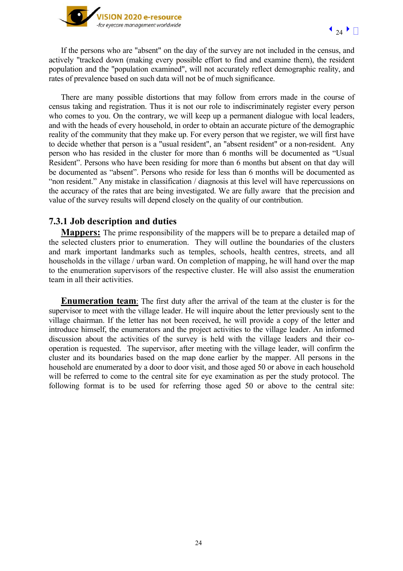

If the persons who are "absent" on the day of the survey are not included in the census, and actively "tracked down (making every possible effort to find and examine them), the resident population and the "population examined", will not accurately reflect demographic reality, and rates of prevalence based on such data will not be of much significance.

There are many possible distortions that may follow from errors made in the course of census taking and registration. Thus it is not our role to indiscriminately register every person who comes to you. On the contrary, we will keep up a permanent dialogue with local leaders, and with the heads of every household, in order to obtain an accurate picture of the demographic reality of the community that they make up. For every person that we register, we will first have to decide whether that person is a "usual resident", an "absent resident" or a non-resident. Any person who has resided in the cluster for more than 6 months will be documented as "Usual Resident". Persons who have been residing for more than 6 months but absent on that day will be documented as "absent". Persons who reside for less than 6 months will be documented as "non resident." Any mistake in classification / diagnosis at this level will have repercussions on the accuracy of the rates that are being investigated. We are fully aware that the precision and value of the survey results will depend closely on the quality of our contribution.

## **7.3.1 Job description and duties**

**Mappers:** The prime responsibility of the mappers will be to prepare a detailed map of the selected clusters prior to enumeration. They will outline the boundaries of the clusters and mark important landmarks such as temples, schools, health centres, streets, and all households in the village / urban ward. On completion of mapping, he will hand over the map to the enumeration supervisors of the respective cluster. He will also assist the enumeration team in all their activities.

**Enumeration team**: The first duty after the arrival of the team at the cluster is for the supervisor to meet with the village leader. He will inquire about the letter previously sent to the village chairman. If the letter has not been received, he will provide a copy of the letter and introduce himself, the enumerators and the project activities to the village leader. An informed discussion about the activities of the survey is held with the village leaders and their cooperation is requested. The supervisor, after meeting with the village leader, will confirm the cluster and its boundaries based on the map done earlier by the mapper. All persons in the household are enumerated by a door to door visit, and those aged 50 or above in each household will be referred to come to the central site for eye examination as per the study protocol. The following format is to be used for referring those aged 50 or above to the central site: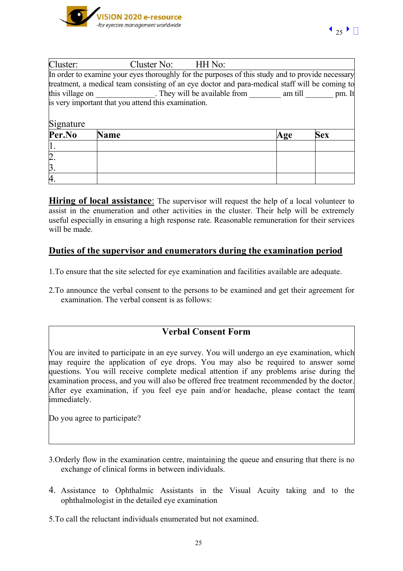

| Cluster:         | Cluster No: HH No:                                                                               |     |            |
|------------------|--------------------------------------------------------------------------------------------------|-----|------------|
|                  | In order to examine your eyes thoroughly for the purposes of this study and to provide necessary |     |            |
|                  | treatment, a medical team consisting of an eye doctor and para-medical staff will be coming to   |     |            |
| this village on  | They will be available from am till                                                              |     | pm. It     |
|                  | is very important that you attend this examination.                                              |     |            |
|                  |                                                                                                  |     |            |
| Signature        |                                                                                                  |     |            |
| Per.No           | <b>Name</b>                                                                                      | Age | <b>Sex</b> |
|                  |                                                                                                  |     |            |
| $\overline{2}$   |                                                                                                  |     |            |
| $\overline{3}$ . |                                                                                                  |     |            |
| $\overline{A}$   |                                                                                                  |     |            |

**Hiring of local assistance**: The supervisor will request the help of a local volunteer to assist in the enumeration and other activities in the cluster. Their help will be extremely useful especially in ensuring a high response rate. Reasonable remuneration for their services will be made.

# **Duties of the supervisor and enumerators during the examination period**

- 1.To ensure that the site selected for eye examination and facilities available are adequate.
- 2.To announce the verbal consent to the persons to be examined and get their agreement for examination. The verbal consent is as follows:

# **Verbal Consent Form**

You are invited to participate in an eye survey. You will undergo an eye examination, which may require the application of eye drops. You may also be required to answer some questions. You will receive complete medical attention if any problems arise during the examination process, and you will also be offered free treatment recommended by the doctor. After eye examination, if you feel eye pain and/or headache, please contact the team immediately.

Do you agree to participate?

- 3.Orderly flow in the examination centre, maintaining the queue and ensuring that there is no exchange of clinical forms in between individuals.
- 4. Assistance to Ophthalmic Assistants in the Visual Acuity taking and to the ophthalmologist in the detailed eye examination
- 5.To call the reluctant individuals enumerated but not examined.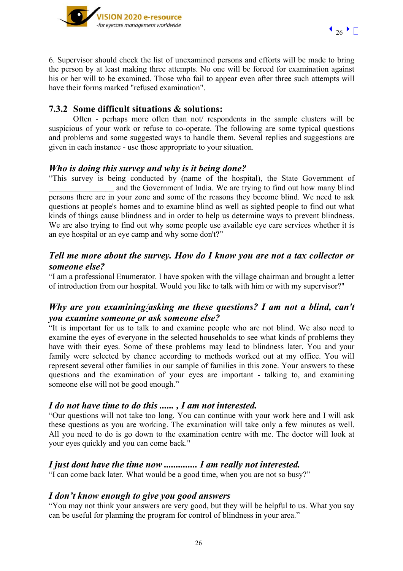



6. Supervisor should check the list of unexamined persons and efforts will be made to bring the person by at least making three attempts. No one will be forced for examination against his or her will to be examined. Those who fail to appear even after three such attempts will have their forms marked "refused examination".

## **7.3.2 Some difficult situations & solutions:**

Often - perhaps more often than not/ respondents in the sample clusters will be suspicious of your work or refuse to co-operate. The following are some typical questions and problems and some suggested ways to handle them. Several replies and suggestions are given in each instance - use those appropriate to your situation.

### *Who is doing this survey and why is it being done?*

"This survey is being conducted by (name of the hospital), the State Government of and the Government of India. We are trying to find out how many blind persons there are in your zone and some of the reasons they become blind. We need to ask questions at people's homes and to examine blind as well as sighted people to find out what kinds of things cause blindness and in order to help us determine ways to prevent blindness. We are also trying to find out why some people use available eye care services whether it is an eye hospital or an eye camp and why some don't?"

## *Tell me more about the survey. How do I know you are not a tax collector or someone else?*

"I am a professional Enumerator. I have spoken with the village chairman and brought a letter of introduction from our hospital. Would you like to talk with him or with my supervisor?"

# *Why are you examining/asking me these questions? I am not a blind, can't you examine someone or ask someone else?*

"It is important for us to talk to and examine people who are not blind. We also need to examine the eyes of everyone in the selected households to see what kinds of problems they have with their eyes. Some of these problems may lead to blindness later. You and your family were selected by chance according to methods worked out at my office. You will represent several other families in our sample of families in this zone. Your answers to these questions and the examination of your eyes are important - talking to, and examining someone else will not be good enough."

## *I do not have time to do this ...... , I am not interested.*

"Our questions will not take too long. You can continue with your work here and I will ask these questions as you are working. The examination will take only a few minutes as well. All you need to do is go down to the examination centre with me. The doctor will look at your eyes quickly and you can come back."

#### *I just dont have the time now .............. I am really not interested.*

"I can come back later. What would be a good time, when you are not so busy?"

## *I don't know enough to give you good answers*

"You may not think your answers are very good, but they will be helpful to us. What you say can be useful for planning the program for control of blindness in your area."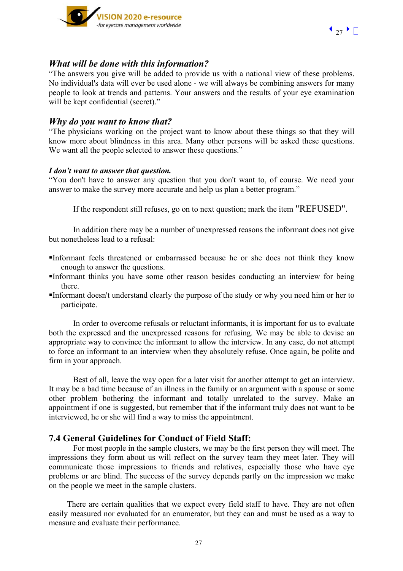



#### *What will be done with this information?*

"The answers you give will be added to provide us with a national view of these problems. No individual's data will ever be used alone - we will always be combining answers for many people to look at trends and patterns. Your answers and the results of your eye examination will be kept confidential (secret)."

#### *Why do you want to know that?*

"The physicians working on the project want to know about these things so that they will know more about blindness in this area. Many other persons will be asked these questions. We want all the people selected to answer these questions."

#### *I don't want to answer that question.*

"You don't have to answer any question that you don't want to, of course. We need your answer to make the survey more accurate and help us plan a better program."

If the respondent still refuses, go on to next question; mark the item "REFUSED".

In addition there may be a number of unexpressed reasons the informant does not give but nonetheless lead to a refusal:

- Informant feels threatened or embarrassed because he or she does not think they know enough to answer the questions.
- Informant thinks you have some other reason besides conducting an interview for being there.
- Informant doesn't understand clearly the purpose of the study or why you need him or her to participate.

In order to overcome refusals or reluctant informants, it is important for us to evaluate both the expressed and the unexpressed reasons for refusing. We may be able to devise an appropriate way to convince the informant to allow the interview. In any case, do not attempt to force an informant to an interview when they absolutely refuse. Once again, be polite and firm in your approach.

Best of all, leave the way open for a later visit for another attempt to get an interview. It may be a bad time because of an illness in the family or an argument with a spouse or some other problem bothering the informant and totally unrelated to the survey. Make an appointment if one is suggested, but remember that if the informant truly does not want to be interviewed, he or she will find a way to miss the appointment.

#### **7.4 General Guidelines for Conduct of Field Staff:**

For most people in the sample clusters, we may be the first person they will meet. The impressions they form about us will reflect on the survey team they meet later. They will communicate those impressions to friends and relatives, especially those who have eye problems or are blind. The success of the survey depends partly on the impression we make on the people we meet in the sample clusters.

There are certain qualities that we expect every field staff to have. They are not often easily measured nor evaluated for an enumerator, but they can and must be used as a way to measure and evaluate their performance.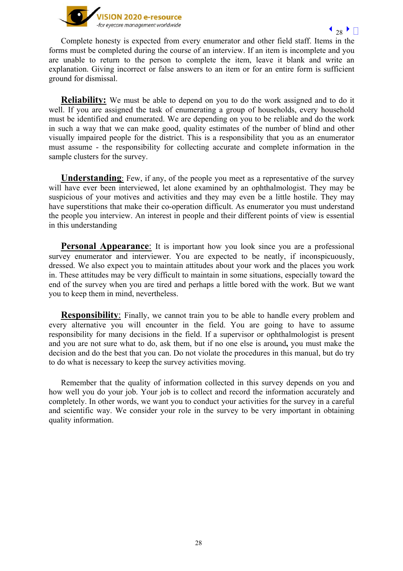

Complete honesty is expected from every enumerator and other field staff. Items in the forms must be completed during the course of an interview. If an item is incomplete and you are unable to return to the person to complete the item, leave it blank and write an explanation. Giving incorrect or false answers to an item or for an entire form is sufficient ground for dismissal.

**Reliability:** We must be able to depend on you to do the work assigned and to do it well. If you are assigned the task of enumerating a group of households, every household must be identified and enumerated. We are depending on you to be reliable and do the work in such a way that we can make good, quality estimates of the number of blind and other visually impaired people for the district. This is a responsibility that you as an enumerator must assume - the responsibility for collecting accurate and complete information in the sample clusters for the survey.

**Understanding**: Few, if any, of the people you meet as a representative of the survey will have ever been interviewed, let alone examined by an ophthalmologist. They may be suspicious of your motives and activities and they may even be a little hostile. They may have superstitions that make their co-operation difficult. As enumerator you must understand the people you interview. An interest in people and their different points of view is essential in this understanding

**Personal Appearance**: It is important how you look since you are a professional survey enumerator and interviewer. You are expected to be neatly, if inconspicuously, dressed. We also expect you to maintain attitudes about your work and the places you work in. These attitudes may be very difficult to maintain in some situations, especially toward the end of the survey when you are tired and perhaps a little bored with the work. But we want you to keep them in mind, nevertheless.

**Responsibility**: Finally, we cannot train you to be able to handle every problem and every alternative you will encounter in the field. You are going to have to assume responsibility for many decisions in the field. If a supervisor or ophthalmologist is present and you are not sure what to do, ask them, but if no one else is around**,** you must make the decision and do the best that you can. Do not violate the procedures in this manual, but do try to do what is necessary to keep the survey activities moving.

Remember that the quality of information collected in this survey depends on you and how well you do your job. Your job is to collect and record the information accurately and completely. In other words, we want you to conduct your activities for the survey in a careful and scientific way. We consider your role in the survey to be very important in obtaining quality information.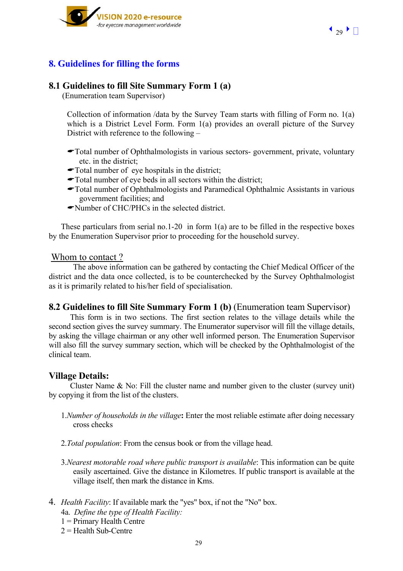

# **8. Guidelines for filling the forms**

#### **8.1 Guidelines to fill Site Summary Form 1 (a)**

(Enumeration team Supervisor)

Collection of information /data by the Survey Team starts with filling of Form no. 1(a) which is a District Level Form. Form 1(a) provides an overall picture of the Survey District with reference to the following –

- \$Total number of Ophthalmologists in various sectors- government, private, voluntary etc. in the district;
- $\blacktriangleright$ Total number of eye hospitals in the district;
- $\blacktriangleright$  Total number of eye beds in all sectors within the district;
- \$Total number of Ophthalmologists and Paramedical Ophthalmic Assistants in various government facilities; and
- $\blacktriangleright$ Number of CHC/PHCs in the selected district.

These particulars from serial no.1-20 in form 1(a) are to be filled in the respective boxes by the Enumeration Supervisor prior to proceeding for the household survey.

#### Whom to contact ?

The above information can be gathered by contacting the Chief Medical Officer of the district and the data once collected, is to be counterchecked by the Survey Ophthalmologist as it is primarily related to his/her field of specialisation.

#### **8.2 Guidelines to fill Site Summary Form 1 (b)** (Enumeration team Supervisor)

This form is in two sections. The first section relates to the village details while the second section gives the survey summary. The Enumerator supervisor will fill the village details, by asking the village chairman or any other well informed person. The Enumeration Supervisor will also fill the survey summary section, which will be checked by the Ophthalmologist of the clinical team.

#### **Village Details:**

Cluster Name & No: Fill the cluster name and number given to the cluster (survey unit) by copying it from the list of the clusters.

- 1.*Number of households in the village***:** Enter the most reliable estimate after doing necessary cross checks
- 2.*Total population*: From the census book or from the village head.
- 3.*Nearest motorable road where public transport is available*: This information can be quite easily ascertained. Give the distance in Kilometres. If public transport is available at the village itself, then mark the distance in Kms.
- 4. *Health Facility*: If available mark the "yes" box, if not the "No" box.
	- 4a. *Define the type of Health Facility:*
	- $1$  = Primary Health Centre
	- $2 =$ Health Sub-Centre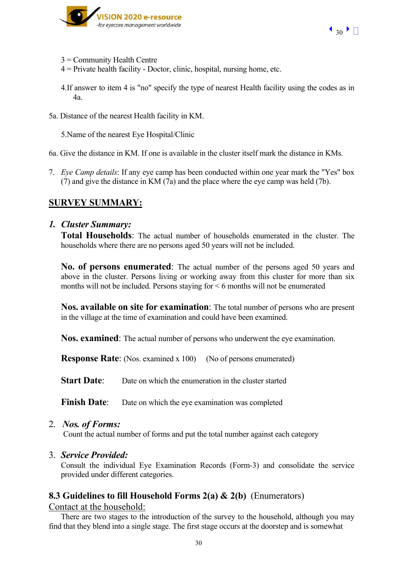

- 3 = Community Health Centre
- $4$  = Private health facility Doctor, clinic, hospital, nursing home, etc.
- 4.If answer to item 4 is "no" specify the type of nearest Health facility using the codes as in 4a.
- 5a. Distance of the nearest Health facility in KM.

5.Name of the nearest Eye Hospital/Clinic

6a. Give the distance in KM. If one is available in the cluster itself mark the distance in KMs.

7. *Eye Camp details*: If any eye camp has been conducted within one year mark the "Yes" box (7) and give the distance in KM (7a) and the place where the eye camp was held (7b).

# **SURVEY SUMMARY:**

### *1. Cluster Summary:*

**Total Households**: The actual number of households enumerated in the cluster. The households where there are no persons aged 50 years will not be included.

**No. of persons enumerated**: The actual number of the persons aged 50 years and above in the cluster. Persons living or working away from this cluster for more than six months will not be included. Persons staying for < 6 months will not be enumerated

**Nos. available on site for examination**: The total number of persons who are present in the village at the time of examination and could have been examined.

**Nos. examined**: The actual number of persons who underwent the eye examination.

**Response Rate**: (Nos. examined x 100) (No of persons enumerated)

**Start Date:** Date on which the enumeration in the cluster started

**Finish Date**: Date on which the eye examination was completed

2. *Nos. of Forms:* 

Count the actual number of forms and put the total number against each category

#### 3. *Service Provided:*

Consult the individual Eye Examination Records (Form-3) and consolidate the service provided under different categories.

## **8.3 Guidelines to fill Household Forms 2(a) & 2(b)** (Enumerators)

Contact at the household:

There are two stages to the introduction of the survey to the household, although you may find that they blend into a single stage. The first stage occurs at the doorstep and is somewhat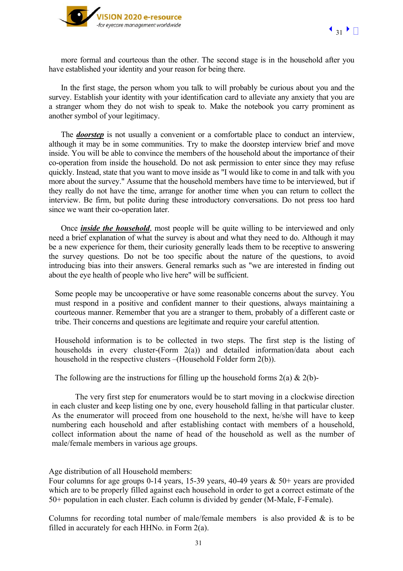



more formal and courteous than the other. The second stage is in the household after you have established your identity and your reason for being there.

In the first stage, the person whom you talk to will probably be curious about you and the survey. Establish your identity with your identification card to alleviate any anxiety that you are a stranger whom they do not wish to speak to. Make the notebook you carry prominent as another symbol of your legitimacy.

The *doorstep* is not usually a convenient or a comfortable place to conduct an interview, although it may be in some communities. Try to make the doorstep interview brief and move inside. You will be able to convince the members of the household about the importance of their co-operation from inside the household. Do not ask permission to enter since they may refuse quickly. Instead, state that you want to move inside as "I would like to come in and talk with you more about the survey." Assume that the household members have time to be interviewed, but if they really do not have the time, arrange for another time when you can return to collect the interview. Be firm, but polite during these introductory conversations. Do not press too hard since we want their co-operation later.

Once *inside the household*, most people will be quite willing to be interviewed and only need a brief explanation of what the survey is about and what they need to do. Although it may be a new experience for them, their curiosity generally leads them to be receptive to answering the survey questions. Do not be too specific about the nature of the questions, to avoid introducing bias into their answers. General remarks such as "we are interested in finding out about the eye health of people who live here" will be sufficient.

Some people may be uncooperative or have some reasonable concerns about the survey. You must respond in a positive and confident manner to their questions, always maintaining a courteous manner. Remember that you are a stranger to them, probably of a different caste or tribe. Their concerns and questions are legitimate and require your careful attention.

Household information is to be collected in two steps. The first step is the listing of households in every cluster-(Form 2(a)) and detailed information/data about each household in the respective clusters –(Household Folder form 2(b)).

The following are the instructions for filling up the household forms  $2(a) \& 2(b)$ -

 The very first step for enumerators would be to start moving in a clockwise direction in each cluster and keep listing one by one, every household falling in that particular cluster. As the enumerator will proceed from one household to the next, he/she will have to keep numbering each household and after establishing contact with members of a household, collect information about the name of head of the household as well as the number of male/female members in various age groups.

Age distribution of all Household members:

Four columns for age groups 0-14 years, 15-39 years, 40-49 years & 50+ years are provided which are to be properly filled against each household in order to get a correct estimate of the 50+ population in each cluster. Each column is divided by gender (M-Male, F-Female).

Columns for recording total number of male/female members is also provided  $\&$  is to be filled in accurately for each HHNo. in Form 2(a).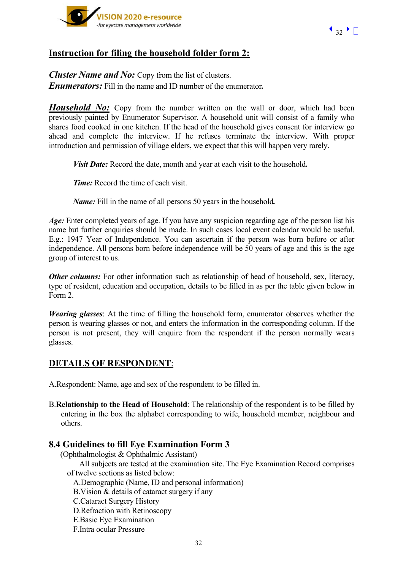



# **Instruction for filing the household folder form 2:**

*Cluster Name and No: Copy from the list of clusters. Enumerators:* Fill in the name and ID number of the enumerator*.* 

*Household No:* Copy from the number written on the wall or door, which had been previously painted by Enumerator Supervisor. A household unit will consist of a family who shares food cooked in one kitchen. If the head of the household gives consent for interview go ahead and complete the interview. If he refuses terminate the interview. With proper introduction and permission of village elders, we expect that this will happen very rarely.

 *Visit Date:* Record the date, month and year at each visit to the household*.* 

*Time:* Record the time of each visit.

 *Name:* Fill in the name of all persons 50 years in the household*.* 

*Age:* Enter completed years of age. If you have any suspicion regarding age of the person list his name but further enquiries should be made. In such cases local event calendar would be useful. E.g.: 1947 Year of Independence. You can ascertain if the person was born before or after independence. All persons born before independence will be 50 years of age and this is the age group of interest to us.

*Other columns:* For other information such as relationship of head of household, sex, literacy, type of resident, education and occupation, details to be filled in as per the table given below in Form 2.

*Wearing glasses*: At the time of filling the household form, enumerator observes whether the person is wearing glasses or not, and enters the information in the corresponding column. If the person is not present, they will enquire from the respondent if the person normally wears glasses.

# **DETAILS OF RESPONDENT**:

A.Respondent: Name, age and sex of the respondent to be filled in.

B.**Relationship to the Head of Household**: The relationship of the respondent is to be filled by entering in the box the alphabet corresponding to wife, household member, neighbour and others.

## **8.4 Guidelines to fill Eye Examination Form 3**

(Ophthalmologist & Ophthalmic Assistant)

All subjects are tested at the examination site. The Eye Examination Record comprises of twelve sections as listed below:

A.Demographic (Name, ID and personal information)

B.Vision & details of cataract surgery if any

C.Cataract Surgery History

D.Refraction with Retinoscopy

E.Basic Eye Examination

F.Intra ocular Pressure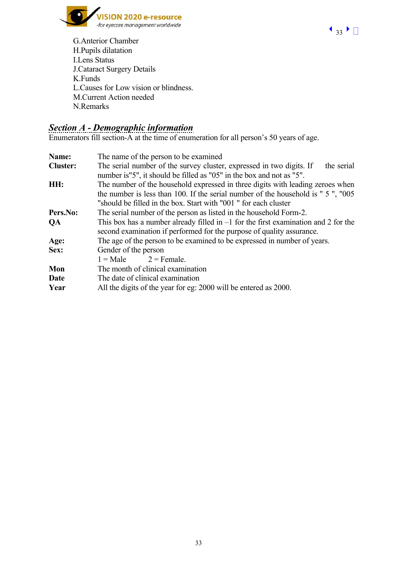



G.Anterior Chamber H.Pupils dilatation I.Lens Status J.Cataract Surgery Details K.Funds L.Causes for Low vision or blindness. M.Current Action needed N.Remarks

# *Section A - Demographic information*

Enumerators fill section-A at the time of enumeration for all person's 50 years of age.

| Name:           | The name of the person to be examined                                                                                                                         |  |  |  |  |
|-----------------|---------------------------------------------------------------------------------------------------------------------------------------------------------------|--|--|--|--|
| <b>Cluster:</b> | The serial number of the survey cluster, expressed in two digits. If<br>the serial<br>number is"5", it should be filled as "05" in the box and not as "5".    |  |  |  |  |
| HH:             | The number of the household expressed in three digits with leading zeroes when                                                                                |  |  |  |  |
|                 | the number is less than 100. If the serial number of the household is " 5", "005"                                                                             |  |  |  |  |
|                 | "should be filled in the box. Start with "001" for each cluster                                                                                               |  |  |  |  |
| Pers.No:        | The serial number of the person as listed in the household Form-2.                                                                                            |  |  |  |  |
| <b>QA</b>       | This box has a number already filled in $-1$ for the first examination and 2 for the<br>second examination if performed for the purpose of quality assurance. |  |  |  |  |
| Age:            | The age of the person to be examined to be expressed in number of years.                                                                                      |  |  |  |  |
| Sex:            | Gender of the person                                                                                                                                          |  |  |  |  |
|                 | $1 = Male$<br>$2$ = Female.                                                                                                                                   |  |  |  |  |
| Mon             | The month of clinical examination                                                                                                                             |  |  |  |  |
| Date            | The date of clinical examination                                                                                                                              |  |  |  |  |
| Year            | All the digits of the year for eg: 2000 will be entered as 2000.                                                                                              |  |  |  |  |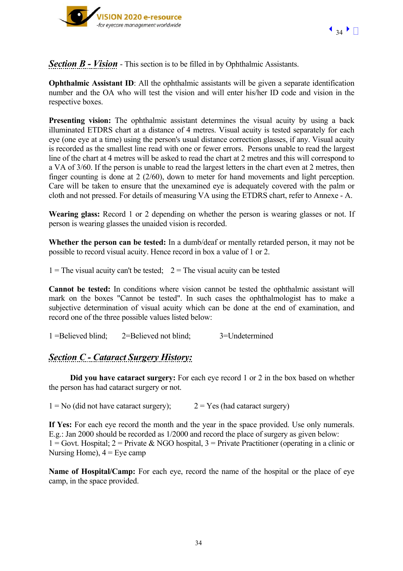

**Section B - Vision** - This section is to be filled in by Ophthalmic Assistants.

**Ophthalmic Assistant ID:** All the ophthalmic assistants will be given a separate identification number and the OA who will test the vision and will enter his/her ID code and vision in the respective boxes.

**Presenting vision:** The ophthalmic assistant determines the visual acuity by using a back illuminated ETDRS chart at a distance of 4 metres. Visual acuity is tested separately for each eye (one eye at a time) using the person's usual distance correction glasses, if any. Visual acuity is recorded as the smallest line read with one or fewer errors. Persons unable to read the largest line of the chart at 4 metres will be asked to read the chart at 2 metres and this will correspond to a VA of 3/60. If the person is unable to read the largest letters in the chart even at 2 metres, then finger counting is done at 2 (2/60), down to meter for hand movements and light perception. Care will be taken to ensure that the unexamined eye is adequately covered with the palm or cloth and not pressed. For details of measuring VA using the ETDRS chart, refer to Annexe - A.

**Wearing glass:** Record 1 or 2 depending on whether the person is wearing glasses or not. If person is wearing glasses the unaided vision is recorded.

**Whether the person can be tested:** In a dumb/deaf or mentally retarded person, it may not be possible to record visual acuity. Hence record in box a value of 1 or 2.

1 = The visual acuity can't be tested;  $2 =$  The visual acuity can be tested

**Cannot be tested:** In conditions where vision cannot be tested the ophthalmic assistant will mark on the boxes "Cannot be tested". In such cases the ophthalmologist has to make a subjective determination of visual acuity which can be done at the end of examination, and record one of the three possible values listed below:

1 =Believed blind; 2=Believed not blind; 3=Undetermined

## *Section C - Cataract Surgery History:*

**Did you have cataract surgery:** For each eye record 1 or 2 in the box based on whether the person has had cataract surgery or not.

 $1 = No$  (did not have cataract surgery);  $2 = Yes$  (had cataract surgery)

**If Yes:** For each eye record the month and the year in the space provided. Use only numerals. E.g.: Jan 2000 should be recorded as 1/2000 and record the place of surgery as given below:  $1 =$  Govt. Hospital:  $2 =$  Private & NGO hospital,  $3 =$  Private Practitioner (operating in a clinic or Nursing Home),  $4 = Eye$  camp

**Name of Hospital/Camp:** For each eye, record the name of the hospital or the place of eye camp, in the space provided.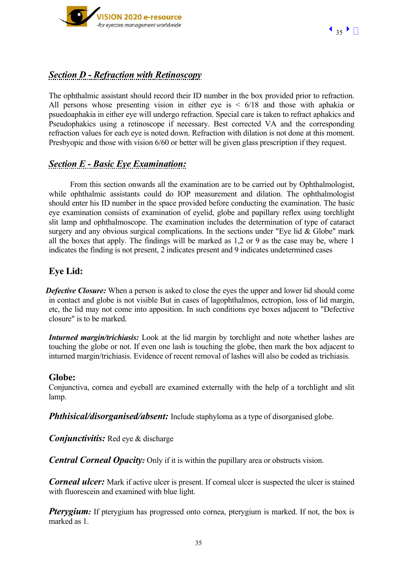

# *Section D - Refraction with Retinoscopy*

The ophthalmic assistant should record their ID number in the box provided prior to refraction. All persons whose presenting vision in either eye is  $\leq 6/18$  and those with aphakia or psuedoaphakia in either eye will undergo refraction. Special care is taken to refract aphakics and Pseudophakics using a retinoscope if necessary. Best corrected VA and the corresponding refraction values for each eye is noted down. Refraction with dilation is not done at this moment. Presbyopic and those with vision 6/60 or better will be given glass prescription if they request.

# *Section E - Basic Eye Examination:*

From this section onwards all the examination are to be carried out by Ophthalmologist, while ophthalmic assistants could do IOP measurement and dilation. The ophthalmologist should enter his ID number in the space provided before conducting the examination. The basic eye examination consists of examination of eyelid, globe and papillary reflex using torchlight slit lamp and ophthalmoscope. The examination includes the determination of type of cataract surgery and any obvious surgical complications. In the sections under "Eye lid  $& Globe$ " mark all the boxes that apply. The findings will be marked as 1,2 or 9 as the case may be, where 1 indicates the finding is not present, 2 indicates present and 9 indicates undetermined cases

## **Eye Lid:**

**Defective Closure:** When a person is asked to close the eyes the upper and lower lid should come in contact and globe is not visible But in cases of lagophthalmos, ectropion, loss of lid margin, etc, the lid may not come into apposition. In such conditions eye boxes adjacent to "Defective closure" is to be marked.

*Inturned margin/trichiasis:* Look at the lid margin by torchlight and note whether lashes are touching the globe or not. If even one lash is touching the globe, then mark the box adjacent to inturned margin/trichiasis. Evidence of recent removal of lashes will also be coded as trichiasis.

## **Globe:**

Conjunctiva, cornea and eyeball are examined externally with the help of a torchlight and slit lamp.

*Phthisical/disorganised/absent:* Include staphyloma as a type of disorganised globe.

 *Conjunctivitis:* Red eye & discharge

*Central Corneal Opacity:* Only if it is within the pupillary area or obstructs vision.

*Corneal ulcer:* Mark if active ulcer is present. If corneal ulcer is suspected the ulcer is stained with fluorescein and examined with blue light.

*Pterygium:* If pterygium has progressed onto cornea, pterygium is marked. If not, the box is marked as 1.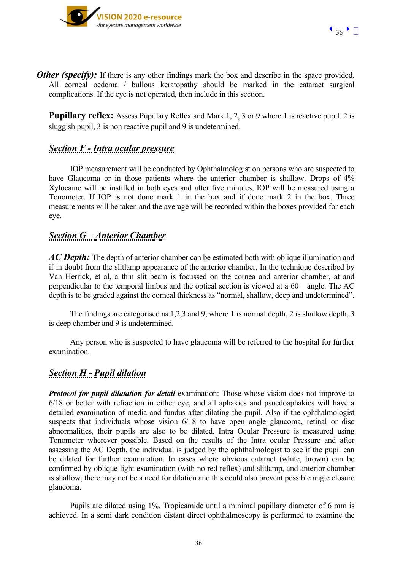

*Other (specify):* If there is any other findings mark the box and describe in the space provided. All corneal oedema / bullous keratopathy should be marked in the cataract surgical complications. If the eye is not operated, then include in this section.

**Pupillary reflex:** Assess Pupillary Reflex and Mark 1, 2, 3 or 9 where 1 is reactive pupil. 2 is sluggish pupil, 3 is non reactive pupil and 9 is undetermined.

## *Section F - Intra ocular pressure*

IOP measurement will be conducted by Ophthalmologist on persons who are suspected to have Glaucoma or in those patients where the anterior chamber is shallow. Drops of  $4\%$ Xylocaine will be instilled in both eyes and after five minutes, IOP will be measured using a Tonometer. If IOP is not done mark 1 in the box and if done mark 2 in the box. Three measurements will be taken and the average will be recorded within the boxes provided for each eye.

# *Section G – Anterior Chamber*

*AC Depth:* The depth of anterior chamber can be estimated both with oblique illumination and if in doubt from the slitlamp appearance of the anterior chamber. In the technique described by Van Herrick, et al, a thin slit beam is focussed on the cornea and anterior chamber, at and perpendicular to the temporal limbus and the optical section is viewed at a 60 angle. The AC depth is to be graded against the corneal thickness as "normal, shallow, deep and undetermined".

The findings are categorised as 1,2,3 and 9, where 1 is normal depth, 2 is shallow depth, 3 is deep chamber and 9 is undetermined.

Any person who is suspected to have glaucoma will be referred to the hospital for further examination.

## *Section H - Pupil dilation*

*Protocol for pupil dilatation for detail* examination: Those whose vision does not improve to 6/18 or better with refraction in either eye, and all aphakics and psuedoaphakics will have a detailed examination of media and fundus after dilating the pupil. Also if the ophthalmologist suspects that individuals whose vision  $6/18$  to have open angle glaucoma, retinal or disc abnormalities, their pupils are also to be dilated. Intra Ocular Pressure is measured using Tonometer wherever possible. Based on the results of the Intra ocular Pressure and after assessing the AC Depth, the individual is judged by the ophthalmologist to see if the pupil can be dilated for further examination. In cases where obvious cataract (white, brown) can be confirmed by oblique light examination (with no red reflex) and slitlamp, and anterior chamber is shallow, there may not be a need for dilation and this could also prevent possible angle closure glaucoma.

Pupils are dilated using 1%. Tropicamide until a minimal pupillary diameter of 6 mm is achieved. In a semi dark condition distant direct ophthalmoscopy is performed to examine the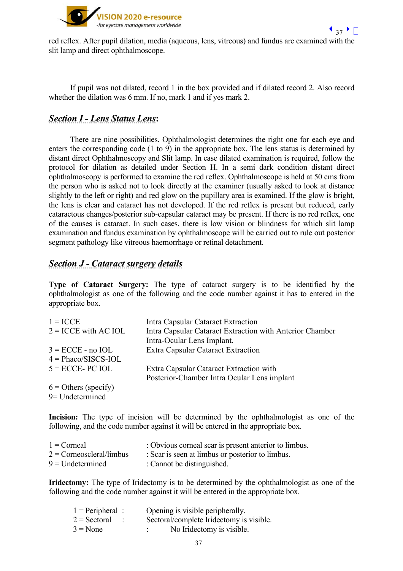

red reflex. After pupil dilation, media (aqueous, lens, vitreous) and fundus are examined with the slit lamp and direct ophthalmoscope.

If pupil was not dilated, record 1 in the box provided and if dilated record 2. Also record whether the dilation was 6 mm. If no, mark 1 and if yes mark 2.

# *Section I - Lens Status Lens***:**

There are nine possibilities. Ophthalmologist determines the right one for each eye and enters the corresponding code (1 to 9) in the appropriate box. The lens status is determined by distant direct Ophthalmoscopy and Slit lamp. In case dilated examination is required, follow the protocol for dilation as detailed under Section H. In a semi dark condition distant direct ophthalmoscopy is performed to examine the red reflex. Ophthalmoscope is held at 50 cms from the person who is asked not to look directly at the examiner (usually asked to look at distance slightly to the left or right) and red glow on the pupillary area is examined. If the glow is bright, the lens is clear and cataract has not developed. If the red reflex is present but reduced, early cataractous changes/posterior sub-capsular cataract may be present. If there is no red reflex, one of the causes is cataract. In such cases, there is low vision or blindness for which slit lamp examination and fundus examination by ophthalmoscope will be carried out to rule out posterior segment pathology like vitreous haemorrhage or retinal detachment.

# *Section J - Cataract surgery details*

**Type of Cataract Surgery:** The type of cataract surgery is to be identified by the ophthalmologist as one of the following and the code number against it has to entered in the appropriate box.

| $1 = \text{ICCE}$      | Intra Capsular Cataract Extraction                       |
|------------------------|----------------------------------------------------------|
| $2 =$ ICCE with AC IOL | Intra Capsular Cataract Extraction with Anterior Chamber |
|                        | Intra-Ocular Lens Implant.                               |
| $3 = ECCE - no IOL$    | Extra Capsular Cataract Extraction                       |
| $4 = Phaco/SISCS-IOL$  |                                                          |
| $5 =$ ECCE-PC IOL      | Extra Capsular Cataract Extraction with                  |
|                        | Posterior-Chamber Intra Ocular Lens implant              |
| $6 =$ Others (specify) |                                                          |
| 9= Undetermined        |                                                          |
|                        |                                                          |

**Incision:** The type of incision will be determined by the ophthalmologist as one of the following, and the code number against it will be entered in the appropriate box.

| $1 =$ Corneal              | : Obvious corneal scar is present anterior to limbus. |
|----------------------------|-------------------------------------------------------|
| $2 =$ Corneoscleral/limbus | : Scar is seen at limbus or posterior to limbus.      |
| $9$ = Undetermined         | : Cannot be distinguished.                            |

**Iridectomy:** The type of Iridectomy is to be determined by the ophthalmologist as one of the following and the code number against it will be entered in the appropriate box.

| $1$ = Peripheral :               | Opening is visible peripherally.         |
|----------------------------------|------------------------------------------|
| $2 =$ Sectoral<br>$\mathbb{R}^2$ | Sectoral/complete Iridectomy is visible. |
| $3 = None$                       | No Iridectomy is visible.                |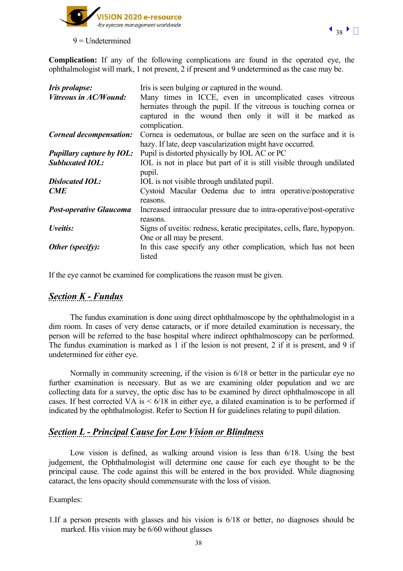

 $9 =$ Undetermined

**Complication:** If any of the following complications are found in the operated eye, the ophthalmologist will mark, 1 not present, 2 if present and 9 undetermined as the case may be.

| <b>Iris</b> prolapse:            | Iris is seen bulging or captured in the wound.                                                                                                                                                             |
|----------------------------------|------------------------------------------------------------------------------------------------------------------------------------------------------------------------------------------------------------|
| <b>Vitreous in AC/Wound:</b>     | Many times in ICCE, even in uncomplicated cases vitreous<br>herniates through the pupil. If the vitreous is touching cornea or<br>captured in the wound then only it will it be marked as<br>complication. |
| <b>Corneal decompensation:</b>   | Cornea is oedematous, or bullae are seen on the surface and it is<br>hazy. If late, deep vascularization might have occurred.                                                                              |
| <b>Pupillary capture by IOL:</b> | Pupil is distorted physically by IOL AC or PC                                                                                                                                                              |
| <b>Subluxated IOL:</b>           | IOL is not in place but part of it is still visible through undilated<br>pupil.                                                                                                                            |
| <b>Dislocated IOL:</b>           | IOL is not visible through undilated pupil.                                                                                                                                                                |
| CME                              | Cystoid Macular Oedema due to intra operative/postoperative<br>reasons.                                                                                                                                    |
| <b>Post-operative Glaucoma</b>   | Increased intraocular pressure due to intra-operative/post-operative<br>reasons.                                                                                                                           |
| Uveitis:                         | Signs of uveitis: redness, keratic precipitates, cells, flare, hypopyon.                                                                                                                                   |
|                                  | One or all may be present.                                                                                                                                                                                 |
| Other (specify):                 | In this case specify any other complication, which has not been<br>listed                                                                                                                                  |

If the eye cannot be examined for complications the reason must be given.

# *Section K - Fundus*

The fundus examination is done using direct ophthalmoscope by the ophthalmologist in a dim room. In cases of very dense cataracts, or if more detailed examination is necessary, the person will be referred to the base hospital where indirect ophthalmoscopy can be performed. The fundus examination is marked as 1 if the lesion is not present, 2 if it is present, and 9 if undetermined for either eye.

Normally in community screening, if the vision is 6/18 or better in the particular eye no further examination is necessary. But as we are examining older population and we are collecting data for a survey, the optic disc has to be examined by direct ophthalmoscope in all cases. If best corrected VA is  $\leq 6/18$  in either eye, a dilated examination is to be performed if indicated by the ophthalmologist. Refer to Section H for guidelines relating to pupil dilation.

# *Section L - Principal Cause for Low Vision or Blindness*

Low vision is defined, as walking around vision is less than 6/18. Using the best judgement, the Ophthalmologist will determine one cause for each eye thought to be the principal cause. The code against this will be entered in the box provided. While diagnosing cataract, the lens opacity should commensurate with the loss of vision.

Examples:

1.If a person presents with glasses and his vision is 6/18 or better, no diagnoses should be marked. His vision may be 6/60 without glasses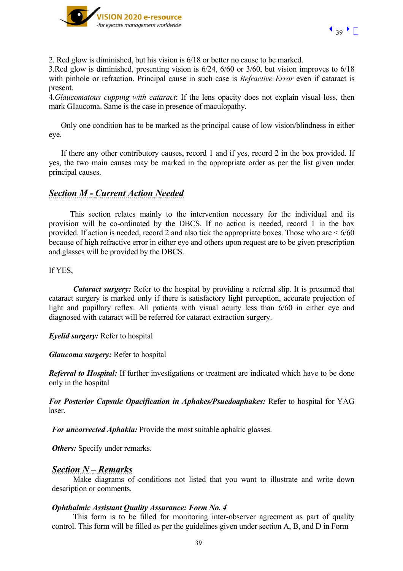

2. Red glow is diminished, but his vision is 6/18 or better no cause to be marked.

3.Red glow is diminished, presenting vision is 6/24, 6/60 or 3/60, but vision improves to 6/18 with pinhole or refraction. Principal cause in such case is *Refractive Error* even if cataract is present.

4.*Glaucomatous cupping with cataract*: If the lens opacity does not explain visual loss, then mark GIaucoma. Same is the case in presence of maculopathy.

Only one condition has to be marked as the principal cause of low vision/blindness in either eye.

If there any other contributory causes, record 1 and if yes, record 2 in the box provided. If yes, the two main causes may be marked in the appropriate order as per the list given under principal causes.

# *Section M - Current Action Needed*

This section relates mainly to the intervention necessary for the individual and its provision will be co-ordinated by the DBCS. If no action is needed, record 1 in the box provided. If action is needed, record 2 and also tick the appropriate boxes. Those who are < 6/60 because of high refractive error in either eye and others upon request are to be given prescription and glasses will be provided by the DBCS.

#### If YES,

*Cataract surgery:* Refer to the hospital by providing a referral slip. It is presumed that cataract surgery is marked only if there is satisfactory light perception, accurate projection of light and pupillary reflex. All patients with visual acuity less than 6/60 in either eye and diagnosed with cataract will be referred for cataract extraction surgery.

*Eyelid surgery:* Refer to hospital

*Glaucoma surgery:* Refer to hospital

*Referral to Hospital:* If further investigations or treatment are indicated which have to be done only in the hospital

*For Posterior Capsule Opacification in Aphakes/Psuedoaphakes:* Refer to hospital for YAG laser.

*For uncorrected Aphakia:* Provide the most suitable aphakic glasses.

*Others:* Specify under remarks.

# *Section N – Remarks*

Make diagrams of conditions not listed that you want to illustrate and write down description or comments.

#### *Ophthalmic Assistant Quality Assurance: Form No. 4*

This form is to be filled for monitoring inter-observer agreement as part of quality control. This form will be filled as per the guidelines given under section A, B, and D in Form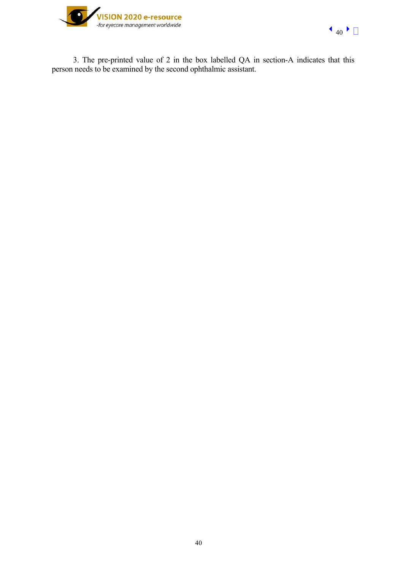

3. The pre-printed value of 2 in the box labelled QA in section-A indicates that this person needs to be examined by the second ophthalmic assistant.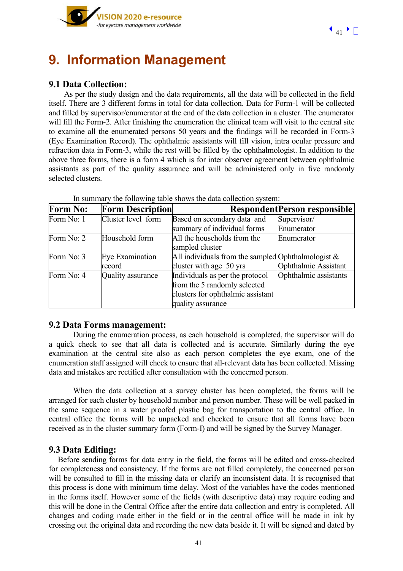

# **9. Information Management**

## **9.1 Data Collection:**

As per the study design and the data requirements, all the data will be collected in the field itself. There are 3 different forms in total for data collection. Data for Form-1 will be collected and filled by supervisor/enumerator at the end of the data collection in a cluster. The enumerator will fill the Form-2. After finishing the enumeration the clinical team will visit to the central site to examine all the enumerated persons 50 years and the findings will be recorded in Form-3 (Eye Examination Record). The ophthalmic assistants will fill vision, intra ocular pressure and refraction data in Form-3, while the rest will be filled by the ophthalmologist. In addition to the above three forms, there is a form 4 which is for inter observer agreement between ophthalmic assistants as part of the quality assurance and will be administered only in five randomly selected clusters.

| <b>Form No:</b> | <b>Form Description</b> |                                                       | <b>Respondent Person responsible</b> |
|-----------------|-------------------------|-------------------------------------------------------|--------------------------------------|
| Form No: 1      | Cluster level form      | Based on secondary data and                           | Supervisor/                          |
|                 |                         | summary of individual forms                           | Enumerator                           |
| Form No: 2      | Household form          | All the households from the                           | Enumerator                           |
|                 |                         | sampled cluster                                       |                                      |
| Form No: 3      | Eye Examination         | All individuals from the sampled Ophthalmologist $\&$ |                                      |
|                 | record                  | cluster with age 50 yrs                               | Ophthalmic Assistant                 |
| Form No: 4      | Quality assurance       | Individuals as per the protocol                       | Ophthalmic assistants                |
|                 |                         | from the 5 randomly selected                          |                                      |
|                 |                         | clusters for ophthalmic assistant                     |                                      |
|                 |                         | quality assurance                                     |                                      |

In summary the following table shows the data collection system:

#### **9.2 Data Forms management:**

During the enumeration process, as each household is completed, the supervisor will do a quick check to see that all data is collected and is accurate. Similarly during the eye examination at the central site also as each person completes the eye exam, one of the enumeration staff assigned will check to ensure that all-relevant data has been collected. Missing data and mistakes are rectified after consultation with the concerned person.

 When the data collection at a survey cluster has been completed, the forms will be arranged for each cluster by household number and person number. These will be well packed in the same sequence in a water proofed plastic bag for transportation to the central office. In central office the forms will be unpacked and checked to ensure that all forms have been received as in the cluster summary form (Form-I) and will be signed by the Survey Manager.

#### **9.3 Data Editing:**

Before sending forms for data entry in the field, the forms will be edited and cross-checked for completeness and consistency. If the forms are not filled completely, the concerned person will be consulted to fill in the missing data or clarify an inconsistent data. It is recognised that this process is done with minimum time delay. Most of the variables have the codes mentioned in the forms itself. However some of the fields (with descriptive data) may require coding and this will be done in the Central Office after the entire data collection and entry is completed. All changes and coding made either in the field or in the central office will be made in ink by crossing out the original data and recording the new data beside it. It will be signed and dated by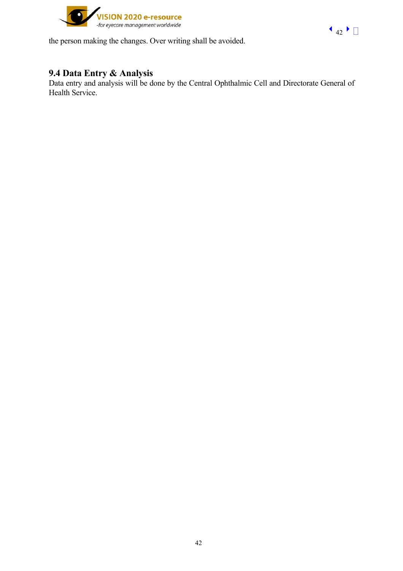

the person making the changes. Over writing shall be avoided.

# **9.4 Data Entry & Analysis**

Data entry and analysis will be done by the Central Ophthalmic Cell and Directorate General of Health Service.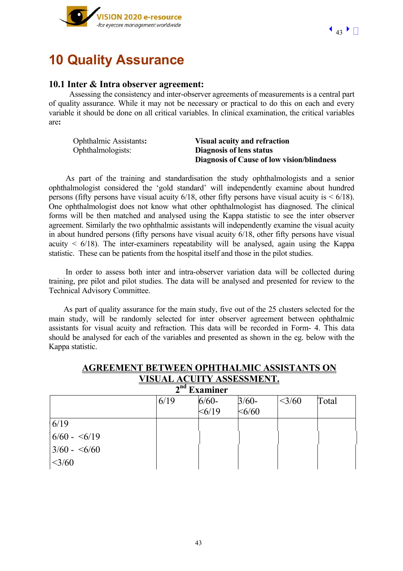



# **10 Quality Assurance**

#### **10.1 Inter & Intra observer agreement:**

 Assessing the consistency and inter-observer agreements of measurements is a central part of quality assurance. While it may not be necessary or practical to do this on each and every variable it should be done on all critical variables. In clinical examination, the critical variables are**:** 

Ophthalmic Assistants**: Visual acuity and refraction** 

 Ophthalmologists: **Diagnosis of lens status Diagnosis of Cause of low vision/blindness** 

 As part of the training and standardisation the study ophthalmologists and a senior ophthalmologist considered the 'gold standard' will independently examine about hundred persons (fifty persons have visual acuity  $6/18$ , other fifty persons have visual acuity is  $\leq 6/18$ ). One ophthalmologist does not know what other ophthalmologist has diagnosed. The clinical forms will be then matched and analysed using the Kappa statistic to see the inter observer agreement. Similarly the two ophthalmic assistants will independently examine the visual acuity in about hundred persons (fifty persons have visual acuity 6/18, other fifty persons have visual acuity  $\leq 6/18$ ). The inter-examiners repeatability will be analysed, again using the Kappa statistic.These can be patients from the hospital itself and those in the pilot studies.

 In order to assess both inter and intra-observer variation data will be collected during training, pre pilot and pilot studies. The data will be analysed and presented for review to the Technical Advisory Committee.

 As part of quality assurance for the main study, five out of the 25 clusters selected for the main study, will be randomly selected for inter observer agreement between ophthalmic assistants for visual acuity and refraction. This data will be recorded in Form- 4. This data should be analysed for each of the variables and presented as shown in the eg. below with the Kappa statistic.

| <b>AGREEMENT BETWEEN OPHTHALMIC ASSISTANTS ON</b> |
|---------------------------------------------------|
| VISUAL ACUITY ASSESSMENT.                         |
| $2nd$ Examinar                                    |

| ▰<br>тааннисі   |      |         |             |      |       |  |
|-----------------|------|---------|-------------|------|-------|--|
|                 | 6/19 | $6/60-$ | $3/60-$     | 3/60 | Total |  |
|                 |      | < 6/19  | $<\!\!6/60$ |      |       |  |
| 6/19            |      |         |             |      |       |  |
| $6/60 - 6/19$   |      |         |             |      |       |  |
| $3/60 - 5/60$   |      |         |             |      |       |  |
| $<\frac{3}{60}$ |      |         |             |      |       |  |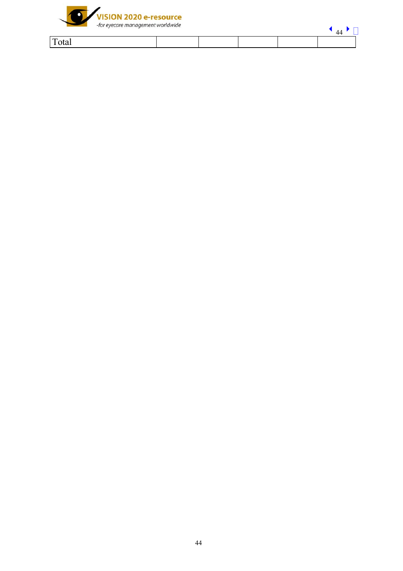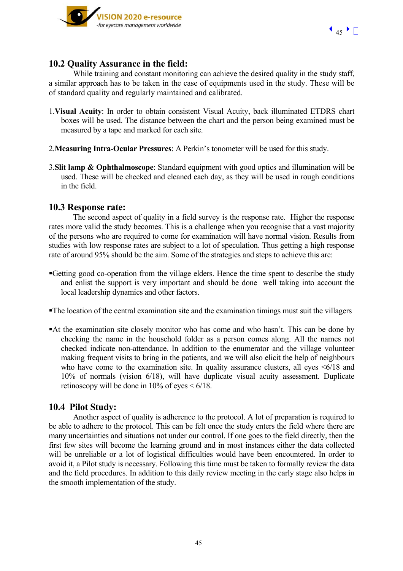

### **10.2 Quality Assurance in the field:**

While training and constant monitoring can achieve the desired quality in the study staff. a similar approach has to be taken in the case of equipments used in the study. These will be of standard quality and regularly maintained and calibrated.

- 1.**Visual Acuity**: In order to obtain consistent Visual Acuity, back illuminated ETDRS chart boxes will be used. The distance between the chart and the person being examined must be measured by a tape and marked for each site.
- 2.**Measuring Intra-Ocular Pressures**: A Perkin's tonometer will be used for this study.
- 3.**Slit lamp & Ophthalmoscope**: Standard equipment with good optics and illumination will be used. These will be checked and cleaned each day, as they will be used in rough conditions in the field.

#### **10.3 Response rate:**

The second aspect of quality in a field survey is the response rate. Higher the response rates more valid the study becomes. This is a challenge when you recognise that a vast majority of the persons who are required to come for examination will have normal vision. Results from studies with low response rates are subject to a lot of speculation. Thus getting a high response rate of around 95% should be the aim. Some of the strategies and steps to achieve this are:

- Getting good co-operation from the village elders. Hence the time spent to describe the study and enlist the support is very important and should be done well taking into account the local leadership dynamics and other factors.
- The location of the central examination site and the examination timings must suit the villagers
- At the examination site closely monitor who has come and who hasn't. This can be done by checking the name in the household folder as a person comes along. All the names not checked indicate non-attendance. In addition to the enumerator and the village volunteer making frequent visits to bring in the patients, and we will also elicit the help of neighbours who have come to the examination site. In quality assurance clusters, all eyes  $\leq 6/18$  and 10% of normals (vision 6/18), will have duplicate visual acuity assessment. Duplicate retinoscopy will be done in  $10\%$  of eyes  $\leq 6/18$ .

#### **10.4 Pilot Study:**

Another aspect of quality is adherence to the protocol. A lot of preparation is required to be able to adhere to the protocol. This can be felt once the study enters the field where there are many uncertainties and situations not under our control. If one goes to the field directly, then the first few sites will become the learning ground and in most instances either the data collected will be unreliable or a lot of logistical difficulties would have been encountered. In order to avoid it, a Pilot study is necessary. Following this time must be taken to formally review the data and the field procedures. In addition to this daily review meeting in the early stage also helps in the smooth implementation of the study.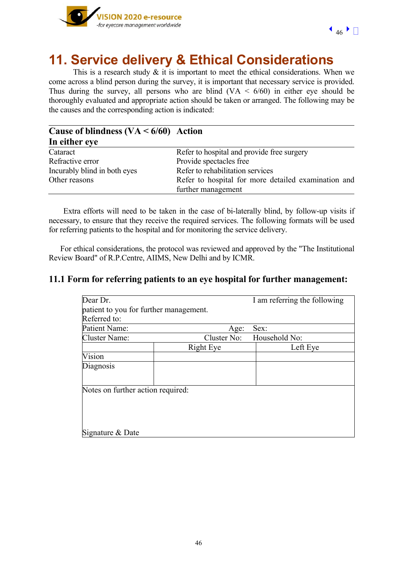

# **11. Service delivery & Ethical Considerations**

This is a research study  $\&$  it is important to meet the ethical considerations. When we come across a blind person during the survey, it is important that necessary service is provided. Thus during the survey, all persons who are blind  $(VA < 6/60)$  in either eye should be thoroughly evaluated and appropriate action should be taken or arranged. The following may be the causes and the corresponding action is indicated:

| Cause of blindness $(VA \le 6/60)$ Action |                                                                           |
|-------------------------------------------|---------------------------------------------------------------------------|
| In either eye                             |                                                                           |
| Cataract                                  | Refer to hospital and provide free surgery                                |
| Refractive error                          | Provide spectacles free                                                   |
| Incurably blind in both eyes              | Refer to rehabilitation services                                          |
| Other reasons                             | Refer to hospital for more detailed examination and<br>further management |

 Extra efforts will need to be taken in the case of bi-laterally blind, by follow-up visits if necessary, to ensure that they receive the required services. The following formats will be used for referring patients to the hospital and for monitoring the service delivery.

 For ethical considerations, the protocol was reviewed and approved by the "The Institutional Review Board" of R.P.Centre, AIIMS, New Delhi and by ICMR.

### **11.1 Form for referring patients to an eye hospital for further management:**

| Dear Dr.                               |             | I am referring the following |
|----------------------------------------|-------------|------------------------------|
| patient to you for further management. |             |                              |
| Referred to:                           |             |                              |
| Patient Name:                          | Age:        | Sex:                         |
| Cluster Name:                          | Cluster No: | Household No:                |
|                                        | Right Eye   | Left Eye                     |
| Vision                                 |             |                              |
| Diagnosis                              |             |                              |
|                                        |             |                              |
| Notes on further action required:      |             |                              |
|                                        |             |                              |
|                                        |             |                              |
|                                        |             |                              |
| Signature & Date                       |             |                              |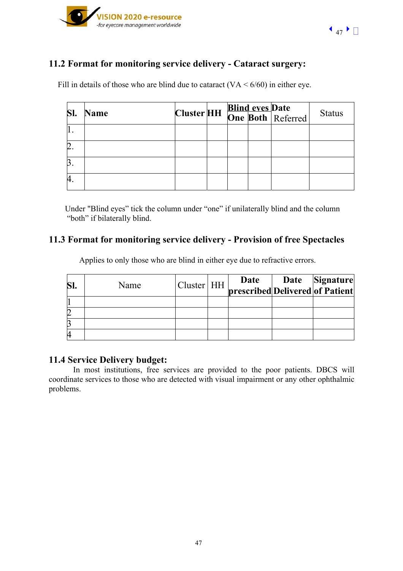

# **11.2 Format for monitoring service delivery - Cataract surgery:**

Fill in details of those who are blind due to cataract  $(VA \le 6/60)$  in either eye.

| <b>Name</b> |  |  | Cluster HH Blind eves Date | <b>Status</b> |
|-------------|--|--|----------------------------|---------------|
|             |  |  |                            |               |
|             |  |  |                            |               |
|             |  |  |                            |               |
|             |  |  |                            |               |

 Under "Blind eyes" tick the column under "one" if unilaterally blind and the column "both" if bilaterally blind.

# **11.3 Format for monitoring service delivery - Provision of free Spectacles**

| SI | Name | Cluster HH | <b>Date</b> Date Signature<br>prescribed Delivered of Patient |  |
|----|------|------------|---------------------------------------------------------------|--|
|    |      |            |                                                               |  |
| 2  |      |            |                                                               |  |
| e  |      |            |                                                               |  |
| 4  |      |            |                                                               |  |

Applies to only those who are blind in either eye due to refractive errors.

## **11.4 Service Delivery budget:**

In most institutions, free services are provided to the poor patients. DBCS will coordinate services to those who are detected with visual impairment or any other ophthalmic problems.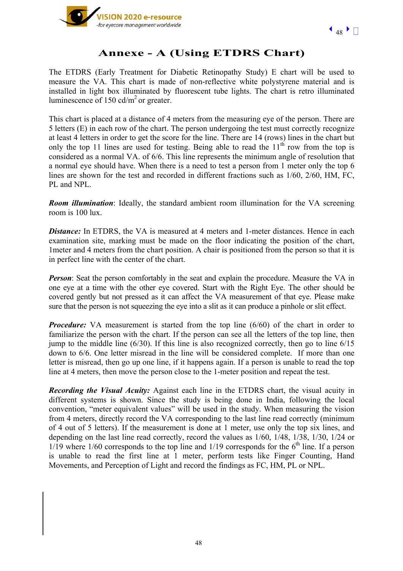

# **Annexe - A (Using ETDRS Chart)**

The ETDRS (Early Treatment for Diabetic Retinopathy Study) E chart will be used to measure the VA. This chart is made of non-reflective white polystyrene material and is installed in light box illuminated by fluorescent tube lights. The chart is retro illuminated luminescence of  $150 \text{ cd/m}^2$  or greater.

This chart is placed at a distance of 4 meters from the measuring eye of the person. There are 5 letters (E) in each row of the chart. The person undergoing the test must correctly recognize at least 4 letters in order to get the score for the line. There are 14 (rows) lines in the chart but only the top 11 lines are used for testing. Being able to read the  $11<sup>th</sup>$  row from the top is considered as a normal VA. of 6/6. This line represents the minimum angle of resolution that a normal eye should have. When there is a need to test a person from 1 meter only the top 6 lines are shown for the test and recorded in different fractions such as 1/60, 2/60, HM, FC, PL and NPL.

*Room illumination*: Ideally, the standard ambient room illumination for the VA screening room is 100 lux.

**Distance:** In ETDRS, the VA is measured at 4 meters and 1-meter distances. Hence in each examination site, marking must be made on the floor indicating the position of the chart, 1meter and 4 meters from the chart position. A chair is positioned from the person so that it is in perfect line with the center of the chart.

*Person*: Seat the person comfortably in the seat and explain the procedure. Measure the VA in one eye at a time with the other eye covered. Start with the Right Eye. The other should be covered gently but not pressed as it can affect the VA measurement of that eye. Please make sure that the person is not squeezing the eye into a slit as it can produce a pinhole or slit effect.

*Procedure:* VA measurement is started from the top line (6/60) of the chart in order to familiarize the person with the chart. If the person can see all the letters of the top line, then jump to the middle line (6/30). If this line is also recognized correctly, then go to line 6/15 down to 6/6. One letter misread in the line will be considered complete. If more than one letter is misread, then go up one line, if it happens again. If a person is unable to read the top line at 4 meters, then move the person close to the 1-meter position and repeat the test.

*Recording the Visual Acuity:* Against each line in the ETDRS chart, the visual acuity in different systems is shown. Since the study is being done in India, following the local convention, "meter equivalent values" will be used in the study. When measuring the vision from 4 meters, directly record the VA corresponding to the last line read correctly (minimum of 4 out of 5 letters). If the measurement is done at 1 meter, use only the top six lines, and depending on the last line read correctly, record the values as 1/60, 1/48, 1/38, 1/30, 1/24 or  $1/19$  where  $1/60$  corresponds to the top line and  $1/19$  corresponds for the  $6<sup>th</sup>$  line. If a person is unable to read the first line at 1 meter, perform tests like Finger Counting, Hand Movements, and Perception of Light and record the findings as FC, HM, PL or NPL.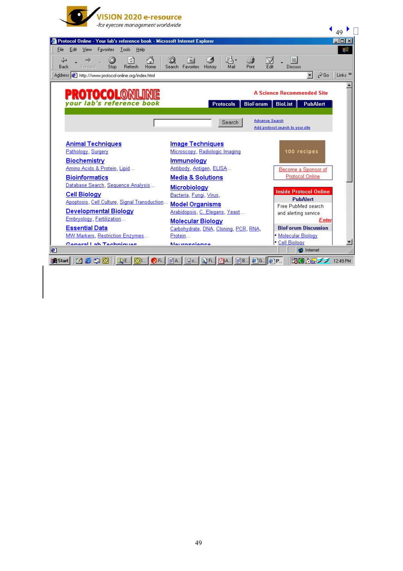

|                                                                           |                                                        | 49                                             |
|---------------------------------------------------------------------------|--------------------------------------------------------|------------------------------------------------|
| Protocol Online - Your lab's reference book - Microsoft Internet Explorer |                                                        | $ \Box$ $\times$                               |
| File<br>Edit<br>View<br>Favorites<br>Tools<br>Help                        |                                                        | 錋                                              |
| ⚠<br>⇦<br>하                                                               | K,<br>4<br>3Q)<br>*                                    | e.                                             |
| Refresh<br>Forward<br>Stop<br>Home<br>Back                                | <b>Print</b><br>Favorites<br>History<br>Mail<br>Search | Ø<br>Edit<br><b>Discuss</b>                    |
| Address 3 http://www.protocol-online.org/index.html                       |                                                        | $\hat{\alpha}$ Go<br>Links <sup>&gt;&gt;</sup> |
|                                                                           |                                                        |                                                |
|                                                                           |                                                        |                                                |
| <b>PROTOCOL®NL</b>                                                        |                                                        | <b>A Science Recommended Site</b>              |
| your lab's reference book                                                 | <b>BioForum</b><br><b>Protocols</b>                    | <b>BioList</b><br><b>PubAlert</b>              |
|                                                                           |                                                        |                                                |
|                                                                           | Search                                                 | Advance Search                                 |
|                                                                           |                                                        | Add protocol search to your site               |
|                                                                           |                                                        |                                                |
| <b>Animal Techniques</b>                                                  | <b>Image Techniques</b>                                |                                                |
| Pathology, Surgery                                                        | Microscopy, Radiologic Imaging                         | 100 recipes                                    |
| Biochemistry                                                              | <b>Immunology</b>                                      |                                                |
| Amino Acids & Protein, Lipid                                              | Antibody, Antigen, ELISA                               | Become a Sponsor of                            |
| <b>Bioinformatics</b>                                                     | <b>Media &amp; Solutions</b>                           | <b>Protocol Online</b>                         |
| Database Search, Sequence Analysis                                        |                                                        |                                                |
| Cell Biology                                                              | Microbiology<br>Bacteria Fungi Virus                   | <b>Inside Protocol Online</b>                  |
| Apoptosis, Cell Culture, Signal Transduction                              |                                                        | <b>PubAlert</b>                                |
| Developmental Biology                                                     | <b>Model Organisms</b>                                 | Free PubMed search                             |
| Embryology Fertilization                                                  | Arabidopsis, C. Elegans, Yeast                         | and alerting service                           |
|                                                                           | <b>Molecular Biology</b>                               | Enter                                          |
| <b>Essential Data</b>                                                     | Carbohydrate, DNA, Cloning, PCR, RNA,                  | <b>BioForum Discussion</b>                     |
| MW Markers, Restriction Enzymes                                           | Protein                                                | Molecular Biology<br>· Cell Biology            |
| Conoral Lah Tochniques                                                    | Nauropeanea                                            | <b>O</b> Internet                              |
|                                                                           |                                                        |                                                |